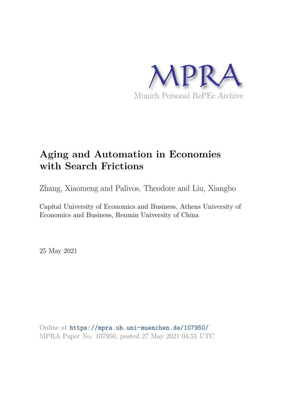

# **Aging and Automation in Economies with Search Frictions**

Zhang, Xiaomeng and Palivos, Theodore and Liu, Xiangbo

Capital University of Economics and Business, Athens University of Economics and Business, Renmin University of China

25 May 2021

Online at https://mpra.ub.uni-muenchen.de/107950/ MPRA Paper No. 107950, posted 27 May 2021 04:55 UTC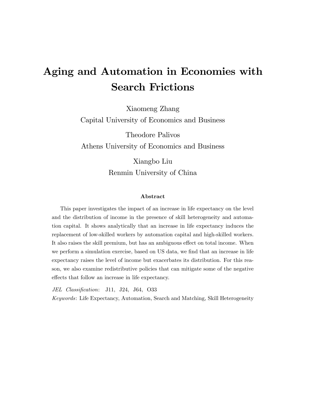# Aging and Automation in Economies with Search Frictions

Xiaomeng Zhang Capital University of Economics and Business

Theodore Palivos Athens University of Economics and Business

> Xiangbo Liu Renmin University of China

#### Abstract

This paper investigates the impact of an increase in life expectancy on the level and the distribution of income in the presence of skill heterogeneity and automation capital. It shows analytically that an increase in life expectancy induces the replacement of low-skilled workers by automation capital and high-skilled workers. It also raises the skill premium, but has an ambiguous effect on total income. When we perform a simulation exercise, based on US data, we find that an increase in life expectancy raises the level of income but exacerbates its distribution. For this reason, we also examine redistributive policies that can mitigate some of the negative effects that follow an increase in life expectancy.

JEL Classification: J11, J24, J64, O33

Keywords: Life Expectancy, Automation, Search and Matching, Skill Heterogeneity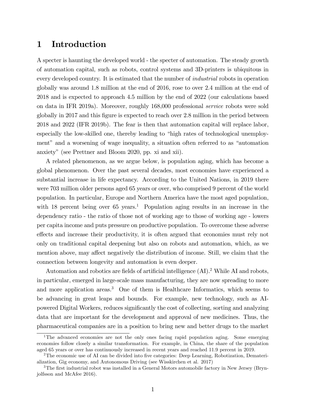# 1 Introduction

A specter is haunting the developed world - the specter of automation. The steady growth of automation capital, such as robots, control systems and 3D-printers is ubiquitous in every developed country. It is estimated that the number of industrial robots in operation globally was around 1.8 million at the end of 2016, rose to over 2.4 million at the end of 2018 and is expected to approach 4.5 million by the end of 2022 (our calculations based on data in IFR 2019a). Moreover, roughly 168,000 professional service robots were sold globally in 2017 and this figure is expected to reach over 2.8 million in the period between 2018 and 2022 (IFR 2019b). The fear is then that automation capital will replace labor, especially the low-skilled one, thereby leading to "high rates of technological unemployment" and a worsening of wage inequality, a situation often referred to as "automation anxietyî (see Prettner and Bloom 2020, pp. xi and xii).

A related phenomenon, as we argue below, is population aging, which has become a global phenomenon. Over the past several decades, most economies have experienced a substantial increase in life expectancy. According to the United Nations, in 2019 there were 703 million older persons aged 65 years or over, who comprised 9 percent of the world population. In particular, Europe and Northern America have the most aged population, with 18 percent being over 65 years.<sup>1</sup> Population aging results in an increase in the dependency ratio - the ratio of those not of working age to those of working age - lowers per capita income and puts pressure on productive population. To overcome these adverse effects and increase their productivity, it is often argued that economies must rely not only on traditional capital deepening but also on robots and automation, which, as we mention above, may affect negatively the distribution of income. Still, we claim that the connection between longevity and automation is even deeper.

Automation and robotics are fields of artificial intelligence  $(AI)$ .<sup>2</sup> While AI and robots, in particular, emerged in large-scale mass manufacturing, they are now spreading to more and more application areas.<sup>3</sup> One of them is Healthcare Informatics, which seems to be advancing in great leaps and bounds. For example, new technology, such as AIpowered Digital Workers, reduces significantly the cost of collecting, sorting and analyzing data that are important for the development and approval of new medicines. Thus, the pharmaceutical companies are in a position to bring new and better drugs to the market

<sup>&</sup>lt;sup>1</sup>The advanced economies are not the only ones facing rapid population aging. Some emerging economies follow closely a similar transformation. For example, in China, the share of the population aged 65 years or over has continuously increased in recent years and reached 11.9 percent in 2019.

<sup>&</sup>lt;sup>2</sup>The economic use of AI can be divided into five categories: Deep Learning, Robotization, Dematerialization, Gig economy, and Autonomous Driving (see Wisskirchen et al. 2017)

<sup>&</sup>lt;sup>3</sup>The first industrial robot was installed in a General Motors automobile factory in New Jersey (Brynjolfsson and McAfee 2016).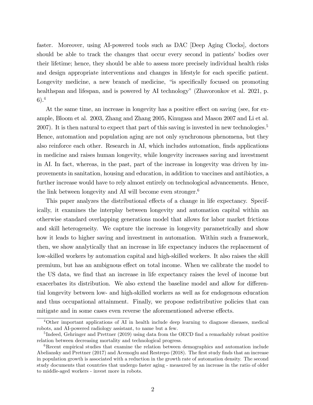faster. Moreover, using AI-powered tools such as DAC [Deep Aging Clocks], doctors should be able to track the changes that occur every second in patients' bodies over their lifetime; hence, they should be able to assess more precisely individual health risks and design appropriate interventions and changes in lifestyle for each specific patient. Longevity medicine, a new branch of medicine, "is specifically focused on promoting healthspan and lifespan, and is powered by AI technology" (Zhavoronkov et al. 2021, p. 6).<sup>4</sup>

At the same time, an increase in longevity has a positive effect on saving (see, for example, Bloom et al. 2003, Zhang and Zhang 2005, Kinugasa and Mason 2007 and Li et al. 2007). It is then natural to expect that part of this saving is invested in new technologies.<sup>5</sup> Hence, automation and population aging are not only synchronous phenomena, but they also reinforce each other. Research in AI, which includes automation, finds applications in medicine and raises human longevity, while longevity increases saving and investment in AI. In fact, whereas, in the past, part of the increase in longevity was driven by improvements in sanitation, housing and education, in addition to vaccines and antibiotics, a further increase would have to rely almost entirely on technological advancements. Hence, the link between longevity and AI will become even stronger.<sup>6</sup>

This paper analyzes the distributional effects of a change in life expectancy. Specifically, it examines the interplay between longevity and automation capital within an otherwise standard overlapping generations model that allows for labor market frictions and skill heterogeneity. We capture the increase in longevity parametrically and show how it leads to higher saving and investment in automation. Within such a framework, then, we show analytically that an increase in life expectancy induces the replacement of low-skilled workers by automation capital and high-skilled workers. It also raises the skill premium, but has an ambiguous effect on total income. When we calibrate the model to the US data, we find that an increase in life expectancy raises the level of income but exacerbates its distribution. We also extend the baseline model and allow for differential longevity between low- and high-skilled workers as well as for endogenous education and thus occupational attainment. Finally, we propose redistributive policies that can mitigate and in some cases even reverse the aforementioned adverse effects.

<sup>4</sup>Other important applications of AI in health include deep learning to diagnose diseases, medical robots, and AI-powered radiology assistant, to name but a few.

<sup>&</sup>lt;sup>5</sup>Indeed, Gehringer and Prettner (2019) using data from the OECD find a remarkably robust positive relation between decreasing mortality and technological progress.

<sup>&</sup>lt;sup>6</sup>Recent empirical studies that examine the relation between demographics and automation include Abeliansky and Prettner (2017) and Acemoglu and Restrepo (2018). The first study finds that an increase in population growth is associated with a reduction in the growth rate of automation density. The second study documents that countries that undergo faster aging - measured by an increase in the ratio of older to middle-aged workers - invest more in robots.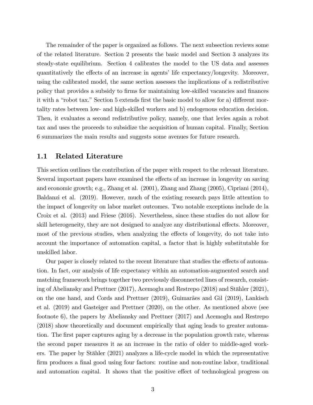The remainder of the paper is organized as follows. The next subsection reviews some of the related literature. Section 2 presents the basic model and Section 3 analyzes its steady-state equilibrium. Section 4 calibrates the model to the US data and assesses quantitatively the effects of an increase in agents' life expectancy/longevity. Moreover, using the calibrated model, the same section assesses the implications of a redistributive policy that provides a subsidy to firms for maintaining low-skilled vacancies and finances it with a "robot tax." Section 5 extends first the basic model to allow for a) different mortality rates between low- and high-skilled workers and b) endogenous education decision. Then, it evaluates a second redistributive policy, namely, one that levies again a robot tax and uses the proceeds to subsidize the acquisition of human capital. Finally, Section 6 summarizes the main results and suggests some avenues for future research.

#### 1.1 Related Literature

This section outlines the contribution of the paper with respect to the relevant literature. Several important papers have examined the effects of an increase in longevity on saving and economic growth; e.g., Zhang et al. (2001), Zhang and Zhang (2005), Cipriani (2014), Baldanzi et al. (2019). However, much of the existing research pays little attention to the impact of longevity on labor market outcomes. Two notable exceptions include de la Croix et al. (2013) and Friese (2016). Nevertheless, since these studies do not allow for skill heterogeneity, they are not designed to analyze any distributional effects. Moreover, most of the previous studies, when analyzing the effects of longevity, do not take into account the importance of automation capital, a factor that is highly substitutable for unskilled labor.

Our paper is closely related to the recent literature that studies the effects of automation. In fact, our analysis of life expectancy within an automation-augmented search and matching framework brings together two previously disconnected lines of research, consisting of Abeliansky and Prettner  $(2017)$ , Acemoglu and Restrepo  $(2018)$  and Stähler  $(2021)$ , on the one hand, and Cords and Prettner  $(2019)$ , Guimarães and Gil  $(2019)$ , Lankisch et al. (2019) and Gasteiger and Prettner (2020), on the other. As mentioned above (see footnote 6), the papers by Abeliansky and Prettner (2017) and Acemoglu and Restrepo (2018) show theoretically and document empirically that aging leads to greater automation. The first paper captures aging by a decrease in the population growth rate, whereas the second paper measures it as an increase in the ratio of older to middle-aged workers. The paper by Stähler  $(2021)$  analyzes a life-cycle model in which the representative firm produces a final good using four factors: routine and non-routine labor, traditional and automation capital. It shows that the positive effect of technological progress on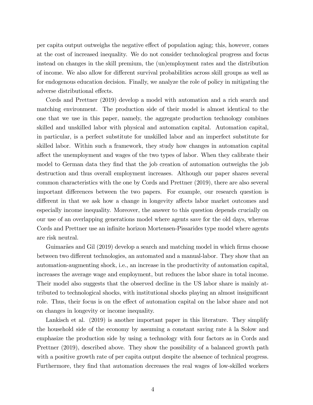per capita output outweighs the negative effect of population aging; this, however, comes at the cost of increased inequality. We do not consider technological progress and focus instead on changes in the skill premium, the (un)employment rates and the distribution of income. We also allow for different survival probabilities across skill groups as well as for endogenous education decision. Finally, we analyze the role of policy in mitigating the adverse distributional effects.

Cords and Prettner (2019) develop a model with automation and a rich search and matching environment. The production side of their model is almost identical to the one that we use in this paper, namely, the aggregate production technology combines skilled and unskilled labor with physical and automation capital. Automation capital, in particular, is a perfect substitute for unskilled labor and an imperfect substitute for skilled labor. Within such a framework, they study how changes in automation capital affect the unemployment and wages of the two types of labor. When they calibrate their model to German data they find that the job creation of automation outweighs the job destruction and thus overall employment increases. Although our paper shares several common characteristics with the one by Cords and Prettner (2019), there are also several important differences between the two papers. For example, our research question is different in that we ask how a change in longevity affects labor market outcomes and especially income inequality. Moreover, the answer to this question depends crucially on our use of an overlapping generations model where agents save for the old days, whereas Cords and Prettner use an infinite horizon Mortensen-Pissarides type model where agents are risk neutral.

Guimarães and Gil (2019) develop a search and matching model in which firms choose between two different technologies, an automated and a manual-labor. They show that an automation-augmenting shock, i.e., an increase in the productivity of automation capital, increases the average wage and employment, but reduces the labor share in total income. Their model also suggests that the observed decline in the US labor share is mainly attributed to technological shocks, with institutional shocks playing an almost insignificant role. Thus, their focus is on the effect of automation capital on the labor share and not on changes in longevity or income inequality.

Lankisch et al. (2019) is another important paper in this literature. They simplify the household side of the economy by assuming a constant saving rate  $\hat{a}$  la Solow and emphasize the production side by using a technology with four factors as in Cords and Prettner (2019), described above. They show the possibility of a balanced growth path with a positive growth rate of per capita output despite the absence of technical progress. Furthermore, they find that automation decreases the real wages of low-skilled workers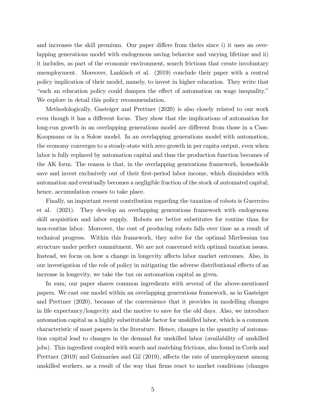and increases the skill premium. Our paper differs from theirs since i) it uses an overlapping generations model with endogenous saving behavior and varying lifetime and ii) it includes, as part of the economic environment, search frictions that create involuntary unemployment. Moreover, Lankisch et al. (2019) conclude their paper with a central policy implication of their model, namely, to invest in higher education. They write that Example is used an education policy could dampen the effect of automation on wage inequality.<sup>n</sup> We explore in detail this policy recommendation.

Methodologically, Gasteiger and Prettner (2020) is also closely related to our work even though it has a different focus. They show that the implications of automation for long-run growth in an overlapping generations model are different from those in a Cass-Koopmans or in a Solow model. In an overlapping generations model with automation, the economy converges to a steady-state with zero growth in per capita output, even when labor is fully replaced by automation capital and thus the production function becomes of the AK form. The reason is that, in the overlapping generations framework, households save and invest exclusively out of their first-period labor income, which diminishes with automation and eventually becomes a negligible fraction of the stock of automated capital; hence, accumulation ceases to take place.

Finally, an important recent contribution regarding the taxation of robots is Guerreiro et al. (2021). They develop an overlapping generations framework with endogenous skill acquisition and labor supply. Robots are better substitutes for routine than for non-routine labor. Moreover, the cost of producing robots falls over time as a result of technical progress. Within this framework, they solve for the optimal Mirrleesian tax structure under perfect commitment. We are not concerned with optimal taxation issues. Instead, we focus on how a change in longevity affects labor market outcomes. Also, in our investigation of the role of policy in mitigating the adverse distributional effects of an increase in longevity, we take the tax on automation capital as given.

In sum, our paper shares common ingredients with several of the above-mentioned papers. We cast our model within an overlapping generations framework, as in Gasteiger and Prettner (2020), because of the convenience that it provides in modelling changes in life expectancy/longevity and the motive to save for the old days. Also, we introduce automation capital as a highly substitutable factor for unskilled labor, which is a common characteristic of most papers in the literature. Hence, changes in the quantity of automation capital lead to changes in the demand for unskilled labor (availability of unskilled jobs). This ingredient coupled with search and matching frictions, also found in Cords and Prettner (2019) and Guimarães and Gil (2019), affects the rate of unemployment among unskilled workers, as a result of the way that firms react to market conditions (changes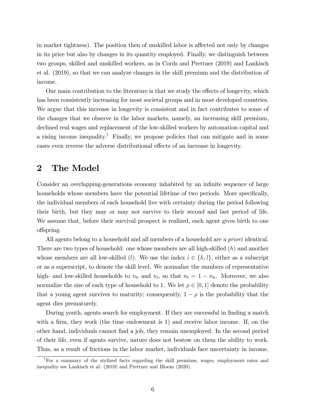in market tightness). The position then of unskilled labor is affected not only by changes in its price but also by changes in its quantity employed. Finally, we distinguish between two groups, skilled and unskilled workers, as in Cords and Prettner (2019) and Lankisch et al. (2019), so that we can analyze changes in the skill premium and the distribution of income.

Our main contribution to the literature is that we study the effects of longevity, which has been consistently increasing for most societal groups and in most developed countries. We argue that this increase in longevity is consistent and in fact contributes to some of the changes that we observe in the labor markets, namely, an increasing skill premium, declined real wages and replacement of the low-skilled workers by automation capital and a rising income inequality.<sup>7</sup> Finally, we propose policies that can mitigate and in some cases even reverse the adverse distributional effects of an increase in longevity.

# 2 The Model

Consider an overlapping-generations economy inhabited by an infinite sequence of large households whose members have the potential lifetime of two periods. More specifically, the individual members of each household live with certainty during the period following their birth, but they may or may not survive to their second and last period of life. We assume that, before their survival prospect is realized, each agent gives birth to one o§spring.

All agents belong to a household and all members of a household are a priori identical. There are two types of household: one whose members are all high-skilled  $(h)$  and another whose members are all low-skilled (*l*). We use the index  $i \in \{h, l\}$ , either as a subscript or as a superscript, to denote the skill level. We normalize the numbers of representative high- and low-skilled households to  $n_h$  and  $n_l$ , so that  $n_l = 1 - n_h$ . Moreover, we also normalize the size of each type of household to 1. We let  $\rho \in [0,1]$  denote the probability that a young agent survives to maturity; consequently,  $1 - \rho$  is the probability that the agent dies prematurely.

During youth, agents search for employment. If they are successful in finding a match with a firm, they work (the time endowment is  $1$ ) and receive labor income. If, on the other hand, individuals cannot Önd a job, they remain unemployed. In the second period of their life, even if agents survive, nature does not bestow on them the ability to work. Thus, as a result of frictions in the labor market, individuals face uncertainty in income.

<sup>&</sup>lt;sup>7</sup>For a summary of the stylized facts regarding the skill premium, wages, employment rates and inequality see Lankisch et al. (2019) and Prettner and Bloom (2020).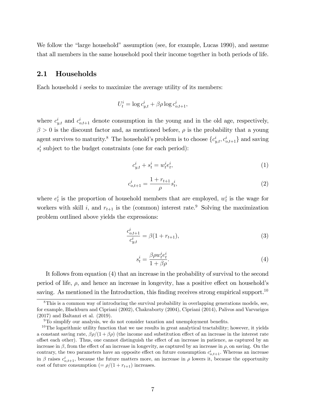We follow the "large household" assumption (see, for example, Lucas 1990), and assume that all members in the same household pool their income together in both periods of life.

#### 2.1 Households

Each household i seeks to maximize the average utility of its members:

$$
U_t^i = \log c_{y,t}^i + \beta \rho \log c_{o,t+1}^i,
$$

where  $c_{y,t}^i$  and  $c_{o,t+1}^i$  denote consumption in the young and in the old age, respectively,  $\beta > 0$  is the discount factor and, as mentioned before,  $\rho$  is the probability that a young agent survives to maturity.<sup>8</sup> The household's problem is to choose  $\{c_{y,t}^i, c_{o,t+1}^i\}$  and saving  $s_t^i$  subject to the budget constraints (one for each period):

$$
c_{y,t}^i + s_t^i = w_t^i e_t^i,\tag{1}
$$

$$
c_{o,t+1}^i = \frac{1 + r_{t+1}}{\rho} s_t^i,\tag{2}
$$

where  $e_t^i$  is the proportion of household members that are employed,  $w_t^i$  is the wage for workers with skill i, and  $r_{t+1}$  is the (common) interest rate.<sup>9</sup> Solving the maximization problem outlined above yields the expressions:

$$
\frac{c_{o,t+1}^i}{c_{y,t}^i} = \beta(1 + r_{t+1}),\tag{3}
$$

$$
s_t^i = \frac{\beta \rho w_t^i e_t^i}{1 + \beta \rho}.\tag{4}
$$

It follows from equation (4) that an increase in the probability of survival to the second period of life,  $\rho$ , and hence an increase in longevity, has a positive effect on household's saving. As mentioned in the Introduction, this finding receives strong empirical support.<sup>10</sup>

<sup>&</sup>lt;sup>8</sup>This is a common way of introducing the survival probability in overlapping generations models, see, for example, Blackburn and Cipriani (2002), Chakraborty (2004), Cipriani (2014), Palivos and Varvarigos (2017) and Baltanzi et al. (2019).

 $9T\sigma$  simplify our analysis, we do not consider taxation and unemployment benefits.

 $10$ The logarithmic utility function that we use results in great analytical tractability; however, it yields a constant saving rate,  $\beta \rho/(1 + \beta \rho)$  (the income and substitution effect of an increase in the interest rate offset each other). Thus, one cannot distinguish the effect of an increase in patience, as captured by an increase in  $\beta$ , from the effect of an increase in longevity, as captured by an increase in  $\rho$ , on saving. On the contrary, the two parameters have an opposite effect on future consumption  $c_{o,t+1}^i$ . Whereas an increase in  $\beta$  raises  $c_{o,t+1}^i$ , because the future matters more, an increase in  $\rho$  lowers it, because the opportunity cost of future consumption  $(= \rho/(1 + r_{t+1})$  increases.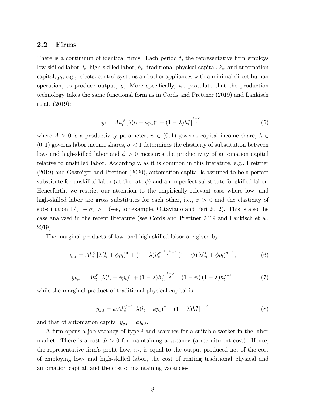### 2.2 Firms

There is a continuum of identical firms. Each period  $t$ , the representative firm employs low-skilled labor,  $l_t$ , high-skilled labor,  $h_t$ , traditional physical capital,  $k_t$ , and automation capital,  $p_t$ , e.g., robots, control systems and other appliances with a minimal direct human operation, to produce output,  $y_t$ . More specifically, we postulate that the production technology takes the same functional form as in Cords and Prettner (2019) and Lankisch et al. (2019):

$$
y_t = Ak_t^{\psi} \left[ \lambda (l_t + \phi p_t)^{\sigma} + (1 - \lambda) h_t^{\sigma} \right]^{\frac{1 - \psi}{\sigma}}, \tag{5}
$$

where  $A > 0$  is a productivity parameter,  $\psi \in (0, 1)$  governs capital income share,  $\lambda \in$  $(0, 1)$  governs labor income shares,  $\sigma < 1$  determines the elasticity of substitution between low- and high-skilled labor and  $\phi > 0$  measures the productivity of automation capital relative to unskilled labor. Accordingly, as it is common in this literature, e.g., Prettner (2019) and Gasteiger and Prettner (2020), automation capital is assumed to be a perfect substitute for unskilled labor (at the rate  $\phi$ ) and an imperfect substitute for skilled labor. Henceforth, we restrict our attention to the empirically relevant case where low- and high-skilled labor are gross substitutes for each other, i.e.,  $\sigma > 0$  and the elasticity of substitution  $1/(1 - \sigma) > 1$  (see, for example, Ottaviano and Peri 2012). This is also the case analyzed in the recent literature (see Cords and Prettner 2019 and Lankisch et al. 2019).

The marginal products of low- and high-skilled labor are given by

$$
y_{l,t} = Ak_t^{\psi} \left[ \lambda (l_t + \phi p_t)^{\sigma} + (1 - \lambda) h_t^{\sigma} \right]^{\frac{1-\psi}{\sigma}-1} (1 - \psi) \lambda (l_t + \phi p_t)^{\sigma-1}, \tag{6}
$$

$$
y_{h,t} = Ak_t^{\psi} \left[ \lambda (l_t + \phi p_t)^{\sigma} + (1 - \lambda) h_t^{\sigma} \right]^{\frac{1-\psi}{\sigma}-1} (1 - \psi) (1 - \lambda) h_t^{\sigma-1}, \tag{7}
$$

while the marginal product of traditional physical capital is

$$
y_{k,t} = \psi A k_t^{\psi-1} \left[ \lambda (l_t + \phi p_t)^{\sigma} + (1 - \lambda) h_t^{\sigma} \right]^{\frac{1-\psi}{\sigma}}
$$
(8)

and that of automation capital  $y_{p,t} = \phi y_{l,t}$ .

A firm opens a job vacancy of type  $i$  and searches for a suitable worker in the labor market. There is a cost  $d_i > 0$  for maintaining a vacancy (a recruitment cost). Hence, the representative firm's profit flow,  $\pi_t$ , is equal to the output produced net of the cost of employing low- and high-skilled labor, the cost of renting traditional physical and automation capital, and the cost of maintaining vacancies: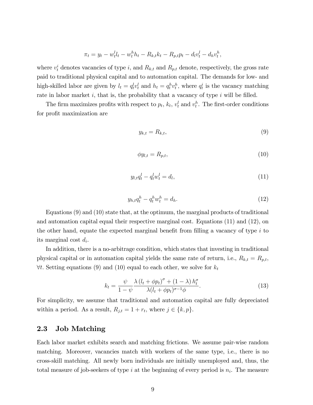$$
\pi_t = y_t - w_t^l l_t - w_t^h h_t - R_{k,t} k_t - R_{p,t} p_t - d_l v_t^l - d_h v_t^h,
$$

where  $v_t^i$  denotes vacancies of type i, and  $R_{k,t}$  and  $R_{p,t}$  denote, respectively, the gross rate paid to traditional physical capital and to automation capital. The demands for low- and high-skilled labor are given by  $l_t = q_t^l v_t^l$  and  $h_t = q_t^h v_t^h$ , where  $q_t^i$  is the vacancy matching rate in labor market  $i$ , that is, the probability that a vacancy of type  $i$  will be filled.

The firm maximizes profits with respect to  $p_t$ ,  $k_t$ ,  $v_t^l$  and  $v_t^h$ . The first-order conditions for profit maximization are

$$
y_{k,t} = R_{k,t},\tag{9}
$$

$$
\phi y_{l,t} = R_{p,t},\tag{10}
$$

$$
y_{l,t}q_t^l - q_t^l w_t^l = d_l,\tag{11}
$$

$$
y_{h,t}q_t^h - q_t^h w_t^h = d_h. \tag{12}
$$

Equations (9) and (10) state that, at the optimum, the marginal products of traditional and automation capital equal their respective marginal cost. Equations (11) and (12), on the other hand, equate the expected marginal benefit from filling a vacancy of type  $i$  to its marginal cost  $d_i$ .

In addition, there is a no-arbitrage condition, which states that investing in traditional physical capital or in automation capital yields the same rate of return, i.e.,  $R_{k,t} = R_{p,t}$ ,  $\forall t$ . Setting equations (9) and (10) equal to each other, we solve for  $k_t$ 

$$
k_t = \frac{\psi}{1 - \psi} \frac{\lambda \left(l_t + \phi p_t\right)^{\sigma} + (1 - \lambda) h_t^{\sigma}}{\lambda (l_t + \phi p_t)^{\sigma - 1} \phi}.
$$
\n(13)

For simplicity, we assume that traditional and automation capital are fully depreciated within a period. As a result,  $R_{j,t} = 1 + r_t$ , where  $j \in \{k, p\}$ .

### 2.3 Job Matching

Each labor market exhibits search and matching frictions. We assume pair-wise random matching. Moreover, vacancies match with workers of the same type, i.e., there is no cross-skill matching. All newly born individuals are initially unemployed and, thus, the total measure of job-seekers of type i at the beginning of every period is  $n_i$ . The measure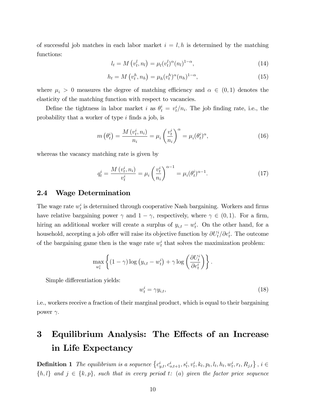of successful job matches in each labor market  $i = l, h$  is determined by the matching functions:

$$
l_t = M\left(v_t^l, n_l\right) = \mu_l(v_t^l)^\alpha (n_l)^{1-\alpha},\tag{14}
$$

$$
h_t = M\left(v_t^h, n_h\right) = \mu_h(v_t^h)^\alpha (n_h)^{1-\alpha},\tag{15}
$$

where  $\mu_i > 0$  measures the degree of matching efficiency and  $\alpha \in (0,1)$  denotes the elasticity of the matching function with respect to vacancies.

Define the tightness in labor market *i* as  $\theta_t^i = v_t^i/n_i$ . The job finding rate, i.e., the probability that a worker of type  $i$  finds a job, is

$$
m\left(\theta_t^i\right) = \frac{M\left(v_t^i, n_i\right)}{n_i} = \mu_i \left(\frac{v_t^i}{n_i}\right)^\alpha = \mu_i(\theta_t^i)^\alpha, \tag{16}
$$

whereas the vacancy matching rate is given by

$$
q_t^i = \frac{M(v_t^i, n_i)}{v_t^i} = \mu_i \left(\frac{v_t^i}{n_i}\right)^{\alpha - 1} = \mu_i (\theta_t^i)^{\alpha - 1}.
$$
 (17)

#### 2.4 Wage Determination

The wage rate  $w_t^i$  is determined through cooperative Nash bargaining. Workers and firms have relative bargaining power  $\gamma$  and  $1 - \gamma$ , respectively, where  $\gamma \in (0, 1)$ . For a firm, hiring an additional worker will create a surplus of  $y_{i,t} - w_t^i$ . On the other hand, for a household, accepting a job offer will raise its objective function by  $\partial U_t^i / \partial e_t^i$ . The outcome of the bargaining game then is the wage rate  $w_t^i$  that solves the maximization problem:

$$
\max_{w_t^i} \left\{ (1 - \gamma) \log (y_{i,t} - w_t^i) + \gamma \log \left( \frac{\partial U_t^i}{\partial e_t^i} \right) \right\}.
$$

Simple differentiation yields:

$$
w_t^i = \gamma y_{i,t},\tag{18}
$$

i.e., workers receive a fraction of their marginal product, which is equal to their bargaining power  $\gamma$ .

# 3 Equilibrium Analysis: The Effects of an Increase in Life Expectancy

**Definition 1** The equilibrium is a sequence  $\{c_{y,t}^i, c_{o,t+1}^i, s_t^i, v_t^i, k_t, p_t, l_t, h_t, w_t^i, r_t, R_{j,t}\}, i \in$  $\{h, l\}$  and  $j \in \{k, p\}$ , such that in every period t: (a) given the factor price sequence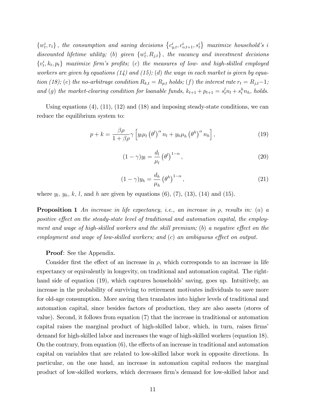$\{w_t^i, r_t\}$ , the consumption and saving decisions  $\{c_{y,t}^i, c_{o,t+1}^i, s_t^i\}$  maximize household's i discounted lifetime utility; (b) given  $\{w_t^i, R_{j,t}\}\,$ , the vacancy and investment decisions  $\{v_t^i, k_t, p_t\}$  maximize firm's profits; (c) the measures of low- and high-skilled employed workers are given by equations  $(14)$  and  $(15)$ ;  $(d)$  the wage in each market is given by equation (18); (e) the no-arbitrage condition  $R_{k,t} = R_{p,t}$  holds; (f) the interest rate  $r_t = R_{j,t}-1$ ; and (g) the market-clearing condition for loanable funds,  $k_{t+1} + p_{t+1} = s_t^l n_l + s_t^h n_h$ , holds.

Using equations  $(4)$ ,  $(11)$ ,  $(12)$  and  $(18)$  and imposing steady-state conditions, we can reduce the equilibrium system to:

$$
p + k = \frac{\beta \rho}{1 + \beta \rho} \gamma \left[ y_l \mu_l \left( \theta^l \right)^{\alpha} n_l + y_h \mu_h \left( \theta^h \right)^{\alpha} n_h \right], \tag{19}
$$

$$
(1 - \gamma)y_l = \frac{d_l}{\mu_l} \left(\theta^l\right)^{1 - \alpha},\tag{20}
$$

$$
(1 - \gamma)y_h = \frac{d_h}{\mu_h} \left(\theta^h\right)^{1 - \alpha},\tag{21}
$$

where  $y_l, y_h, k, l$ , and h are given by equations  $(6)$ ,  $(7)$ ,  $(13)$ ,  $(14)$  and  $(15)$ .

**Proposition 1** An increase in life expectancy, i.e., an increase in  $\rho$ , results in: (a) a positive effect on the steady-state level of traditional and automation capital, the employment and wage of high-skilled workers and the skill premium; (b) a negative effect on the employment and wage of low-skilled workers; and  $(c)$  an ambiguous effect on output.

#### **Proof**: See the Appendix.

Consider first the effect of an increase in  $\rho$ , which corresponds to an increase in life expectancy or equivalently in longevity, on traditional and automation capital. The righthand side of equation (19), which captures households' saving, goes up. Intuitively, an increase in the probability of surviving to retirement motivates individuals to save more for old-age consumption. More saving then translates into higher levels of traditional and automation capital, since besides factors of production, they are also assets (stores of value). Second, it follows from equation (7) that the increase in traditional or automation capital raises the marginal product of high-skilled labor, which, in turn, raises firms demand for high-skilled labor and increases the wage of high-skilled workers (equation 18). On the contrary, from equation  $(6)$ , the effects of an increase in traditional and automation capital on variables that are related to low-skilled labor work in opposite directions. In particular, on the one hand, an increase in automation capital reduces the marginal product of low-skilled workers, which decreases firm's demand for low-skilled labor and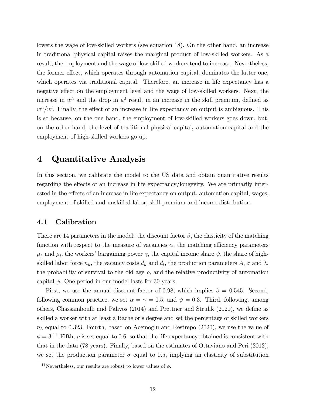lowers the wage of low-skilled workers (see equation 18). On the other hand, an increase in traditional physical capital raises the marginal product of low-skilled workers. As a result, the employment and the wage of low-skilled workers tend to increase. Nevertheless, the former effect, which operates through automation capital, dominates the latter one, which operates via traditional capital. Therefore, an increase in life expectancy has a negative effect on the employment level and the wage of low-skilled workers. Next, the increase in  $w^h$  and the drop in  $w^l$  result in an increase in the skill premium, defined as  $w<sup>h</sup>/w<sup>l</sup>$ . Finally, the effect of an increase in life expectancy on output is ambiguous. This is so because, on the one hand, the employment of low-skilled workers goes down, but, on the other hand, the level of traditional physical capital, automation capital and the employment of high-skilled workers go up.

# 4 Quantitative Analysis

In this section, we calibrate the model to the US data and obtain quantitative results regarding the effects of an increase in life expectancy/longevity. We are primarily interested in the effects of an increase in life expectancy on output, automation capital, wages, employment of skilled and unskilled labor, skill premium and income distribution.

### 4.1 Calibration

There are 14 parameters in the model: the discount factor  $\beta$ , the elasticity of the matching function with respect to the measure of vacancies  $\alpha$ , the matching efficiency parameters  $\mu_h$  and  $\mu_l$ , the workers' bargaining power  $\gamma$ , the capital income share  $\psi$ , the share of highskilled labor force  $n_h$ , the vacancy costs  $d_h$  and  $d_l$ , the production parameters  $A$ ,  $\sigma$  and  $\lambda$ , the probability of survival to the old age  $\rho$ , and the relative productivity of automation capital  $\phi$ . One period in our model lasts for 30 years.

First, we use the annual discount factor of 0.98, which implies  $\beta = 0.545$ . Second, following common practice, we set  $\alpha = \gamma = 0.5$ , and  $\psi = 0.3$ . Third, following, among others, Chassamboulli and Palivos  $(2014)$  and Prettner and Strulik  $(2020)$ , we define as skilled a worker with at least a Bachelor's degree and set the percentage of skilled workers  $n_h$  equal to 0.323. Fourth, based on Acemoglu and Restrepo (2020), we use the value of  $\phi = 3$ .<sup>11</sup> Fifth,  $\rho$  is set equal to 0.6, so that the life expectancy obtained is consistent with that in the data (78 years). Finally, based on the estimates of Ottaviano and Peri (2012), we set the production parameter  $\sigma$  equal to 0.5, implying an elasticity of substitution

<sup>&</sup>lt;sup>11</sup>Nevertheless, our results are robust to lower values of  $\phi$ .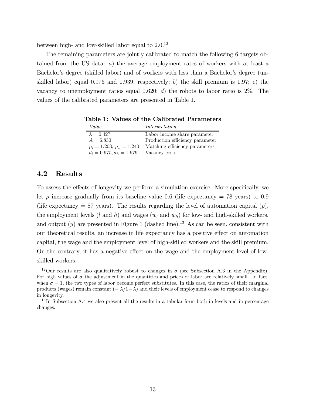between high- and low-skilled labor equal to  $2.0^{12}$ 

The remaining parameters are jointly calibrated to match the following 6 targets obtained from the US data: a) the average employment rates of workers with at least a Bachelor's degree (skilled labor) and of workers with less than a Bachelor's degree (unskilled labor) equal 0.976 and 0.939, respectively; b) the skill premium is 1.97; c) the vacancy to unemployment ratios equal 0.620; d) the robots to labor ratio is  $2\%$ . The values of the calibrated parameters are presented in Table 1.

Table 1: Values of the Calibrated Parameters

| Value                          | Interpretation                  |
|--------------------------------|---------------------------------|
| $\lambda = 0.427$              | Labor income share parameter    |
| $A = 6.830$                    | Production efficiency parameter |
| $\mu_l = 1.203, \mu_h = 1.240$ | Matching efficiency parameters  |
| $d_l = 0.975, d_h = 1.979$     | Vacancy costs                   |

#### 4.2 Results

To assess the effects of longevity we perform a simulation exercise. More specifically, we let  $\rho$  increase gradually from its baseline value 0.6 (life expectancy = 78 years) to 0.9 (life expectancy  $= 87$  years). The results regarding the level of automation capital  $(p)$ , the employment levels (l and h) and wages  $(w_l \text{ and } w_h)$  for low- and high-skilled workers, and output  $(y)$  are presented in Figure 1 (dashed line).<sup>13</sup> As can be seen, consistent with our theoretical results, an increase in life expectancy has a positive effect on automation capital, the wage and the employment level of high-skilled workers and the skill premium. On the contrary, it has a negative effect on the wage and the employment level of lowskilled workers.

<sup>&</sup>lt;sup>12</sup>Our results are also qualitatively robust to changes in  $\sigma$  (see Subsection A.3 in the Appendix). For high values of  $\sigma$  the adjustment in the quantities and prices of labor are relatively small. In fact, when  $\sigma = 1$ , the two types of labor become perfect substitutes. In this case, the ratios of their marginal products (wages) remain constant  $(=\lambda/1-\lambda)$  and their levels of employment cease to respond to changes in longevity.

<sup>&</sup>lt;sup>13</sup>In Subsection A.4 we also present all the results in a tabular form both in levels and in percentage changes.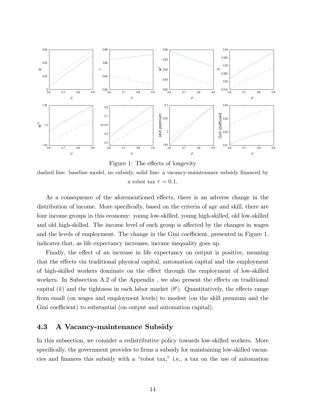

Figure 1: The effects of longevity

dashed line: baseline model, no subsidy, solid line: a vacancy-maintenance subsidy financed by a robot tax  $\tau = 0.1$ .

As a consequence of the aforementioned effects, there is an adverse change in the distribution of income. More specifically, based on the criteria of age and skill, there are four income groups in this economy: young low-skilled, young high-skilled, old low-skilled and old high-skilled. The income level of each group is affected by the changes in wages and the levels of employment. The change in the Gini coefficient, presented in Figure  $1$ , indicates that, as life expectancy increases, income inequality goes up.

Finally, the effect of an increase in life expectancy on output is positive, meaning that the effects via traditional physical capital, automation capital and the employment of high-skilled workers dominate on the effect through the employment of low-skilled workers. In Subsection  $A.2$  of the Appendix, we also present the effects on traditional capital (k) and the tightness in each labor market  $(\theta^i)$ . Quantitatively, the effects range from small (on wages and employment levels) to modest (on the skill premium and the Gini coefficient) to substantial (on output and automation capital).

### 4.3 A Vacancy-maintenance Subsidy

In this subsection, we consider a redistributive policy towards low-skilled workers. More specifically, the government provides to firms a subsidy for maintaining low-skilled vacancies and finances this subsidy with a "robot tax," i.e., a tax on the use of automation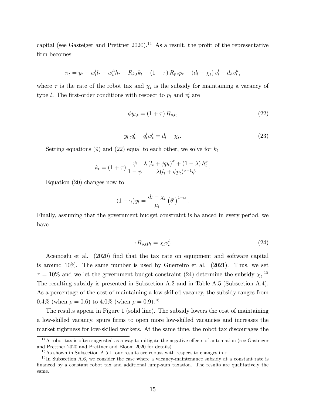capital (see Gasteiger and Prettner  $2020$ ).<sup>14</sup> As a result, the profit of the representative firm becomes:

$$
\pi_t = y_t - w_t^l l_t - w_t^h h_t - R_{k,t} k_t - (1 + \tau) R_{p,t} p_t - (d_l - \chi_t) v_t^l - d_h v_t^h,
$$

where  $\tau$  is the rate of the robot tax and  $\chi_t$  is the subsidy for maintaining a vacancy of type l. The first-order conditions with respect to  $p_t$  and  $v_t^l$  are

$$
\phi y_{l,t} = (1+\tau) R_{p,t},\tag{22}
$$

$$
y_{l,t}q_t^l - q_t^l w_t^l = d_l - \chi_t.
$$
\n(23)

:

Setting equations (9) and (22) equal to each other, we solve for  $k_t$ 

$$
k_t = (1+\tau) \frac{\psi}{1-\psi} \frac{\lambda (l_t + \phi p_t)^{\sigma} + (1-\lambda) h_t^{\sigma}}{\lambda (l_t + \phi p_t)^{\sigma-1} \phi}.
$$

Equation (20) changes now to

$$
(1 - \gamma)y_l = \frac{d_l - \chi_t}{\mu_l} (\theta^l)^{1 - \alpha}
$$

Finally, assuming that the government budget constraint is balanced in every period, we have

$$
\tau R_{p,t} p_t = \chi_t v_t^l. \tag{24}
$$

Acemoglu et al. (2020) find that the tax rate on equipment and software capital is around 10%. The same number is used by Guerreiro et al. (2021). Thus, we set  $\tau = 10\%$  and we let the government budget constraint (24) determine the subsidy  $\chi_t$ .<sup>15</sup> The resulting subsidy is presented in Subsection A.2 and in Table A.5 (Subsection A.4). As a percentage of the cost of maintaining a low-skilled vacancy, the subsidy ranges from  $0.4\%$  (when  $\rho = 0.6$ ) to  $4.0\%$  (when  $\rho = 0.9$ ).<sup>16</sup>

The results appear in Figure 1 (solid line). The subsidy lowers the cost of maintaining a low-skilled vacancy, spurs firms to open more low-skilled vacancies and increases the market tightness for low-skilled workers. At the same time, the robot tax discourages the

 $14A$  robot tax is often suggested as a way to mitigate the negative effects of automation (see Gasteiger and Prettner 2020 and Prettner and Bloom 2020 for details).

<sup>&</sup>lt;sup>15</sup>As shown in Subsection A.5.1, our results are robust with respect to changes in  $\tau$ .

 $16$  In Subsection A.6, we consider the case where a vacancy-maintenance subsidy at a constant rate is financed by a constant robot tax and additional lump-sum taxation. The results are qualitatively the same.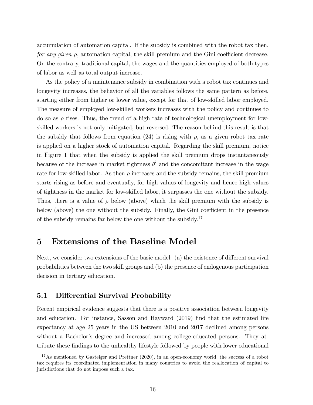accumulation of automation capital. If the subsidy is combined with the robot tax then, for any given  $\rho$ , automation capital, the skill premium and the Gini coefficient decrease. On the contrary, traditional capital, the wages and the quantities employed of both types of labor as well as total output increase.

As the policy of a maintenance subsidy in combination with a robot tax continues and longevity increases, the behavior of all the variables follows the same pattern as before, starting either from higher or lower value, except for that of low-skilled labor employed. The measure of employed low-skilled workers increases with the policy and continues to do so as  $\rho$  rises. Thus, the trend of a high rate of technological unemployment for lowskilled workers is not only mitigated, but reversed. The reason behind this result is that the subsidy that follows from equation (24) is rising with  $\rho$ , as a given robot tax rate is applied on a higher stock of automation capital. Regarding the skill premium, notice in Figure 1 that when the subsidy is applied the skill premium drops instantaneously because of the increase in market tightness  $\theta^l$  and the concomitant increase in the wage rate for low-skilled labor. As then  $\rho$  increases and the subsidy remains, the skill premium starts rising as before and eventually, for high values of longevity and hence high values of tightness in the market for low-skilled labor, it surpasses the one without the subsidy. Thus, there is a value of  $\rho$  below (above) which the skill premium with the subsidy is below (above) the one without the subsidy. Finally, the Gini coefficient in the presence of the subsidy remains far below the one without the subsidy. $17$ 

# 5 Extensions of the Baseline Model

Next, we consider two extensions of the basic model: (a) the existence of different survival probabilities between the two skill groups and (b) the presence of endogenous participation decision in tertiary education.

### 5.1 Differential Survival Probability

Recent empirical evidence suggests that there is a positive association between longevity and education. For instance, Sasson and Hayward (2019) find that the estimated life expectancy at age 25 years in the US between 2010 and 2017 declined among persons without a Bachelor's degree and increased among college-educated persons. They attribute these Öndings to the unhealthy lifestyle followed by people with lower educational

<sup>&</sup>lt;sup>17</sup>As mentioned by Gasteiger and Prettner (2020), in an open-economy world, the success of a robot tax requires its coordinated implementation in many countries to avoid the reallocation of capital to jurisdictions that do not impose such a tax.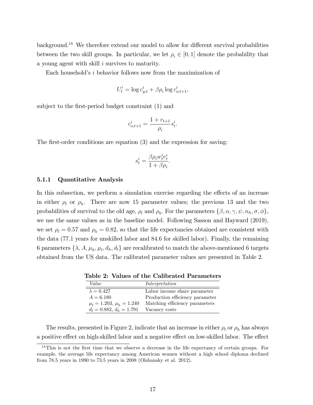background.<sup>18</sup> We therefore extend our model to allow for different survival probabilities between the two skill groups. In particular, we let  $\rho_i \in [0, 1]$  denote the probability that a young agent with skill i survives to maturity.

Each household's  $i$  behavior follows now from the maximization of

$$
U_t^i = \log c_{y,t}^i + \beta \rho_i \log c_{o,t+1}^i,
$$

subject to the first-period budget constraint (1) and

$$
c_{o,t+1}^i = \frac{1 + r_{t+1}}{\rho_i} s_t^i.
$$

The first-order conditions are equation  $(3)$  and the expression for saving:

$$
s^i_t = \frac{\beta \rho_i w^i_t e^i_t}{1 + \beta \rho_i}.
$$

#### 5.1.1 Quantitative Analysis

In this subsection, we perform a simulation exercise regarding the effects of an increase in either  $\rho_l$  or  $\rho_h$ . There are now 15 parameter values; the previous 13 and the two probabilities of survival to the old age,  $\rho_l$  and  $\rho_h$ . For the parameters  $\{\beta, \alpha, \gamma, \psi, n_h, \sigma, \phi\},\$ we use the same values as in the baseline model. Following Sasson and Hayward (2019), we set  $\rho_l = 0.57$  and  $\rho_h = 0.82$ , so that the life expectancies obtained are consistent with the data (77:1 years for unskilled labor and 84:6 for skilled labor). Finally, the remaining 6 parameters  $\{\lambda, A, \mu_h, \mu_l, d_h, d_l\}$  are recalibrated to match the above-mentioned 6 targets obtained from the US data. The calibrated parameter values are presented in Table 2.

| Value                          | Interpretation                  |
|--------------------------------|---------------------------------|
| $\lambda = 0.427$              | Labor income share parameter    |
| $A = 6.180$                    | Production efficiency parameter |
| $\mu_l = 1.203, \mu_h = 1.240$ | Matching efficiency parameters  |
| $d_l = 0.882, d_h = 1.791$     | Vacancy costs                   |

Table 2: Values of the Calibrated Parameters

The results, presented in Figure 2, indicate that an increase in either  $\rho_l$  or  $\rho_h$  has always a positive effect on high-skilled labor and a negative effect on low-skilled labor. The effect

<sup>&</sup>lt;sup>18</sup>This is not the first time that we observe a decrease in the life expectancy of certain groups. For example, the average life expectancy among American women without a high school diploma declined from 78.5 years in 1990 to 73.5 years in 2008 (Olshansky et al. 2012).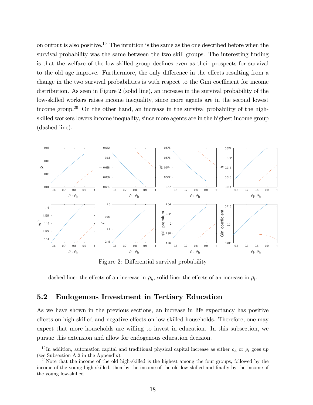on output is also positive.<sup>19</sup> The intuition is the same as the one described before when the survival probability was the same between the two skill groups. The interesting finding is that the welfare of the low-skilled group declines even as their prospects for survival to the old age improve. Furthermore, the only difference in the effects resulting from a change in the two survival probabilities is with respect to the Gini coefficient for income distribution. As seen in Figure 2 (solid line), an increase in the survival probability of the low-skilled workers raises income inequality, since more agents are in the second lowest income group.<sup>20</sup> On the other hand, an increase in the survival probability of the highskilled workers lowers income inequality, since more agents are in the highest income group (dashed line).



Figure 2: Differential survival probability

dashed line: the effects of an increase in  $\rho_h$ , solid line: the effects of an increase in  $\rho_l$ .

### 5.2 Endogenous Investment in Tertiary Education

As we have shown in the previous sections, an increase in life expectancy has positive effects on high-skilled and negative effects on low-skilled households. Therefore, one may expect that more households are willing to invest in education. In this subsection, we pursue this extension and allow for endogenous education decision.

<sup>&</sup>lt;sup>19</sup>In addition, automation capital and traditional physical capital increase as either  $\rho_h$  or  $\rho_l$  goes up (see Subsection A.2 in the Appendix).

 $^{20}$ Note that the income of the old high-skilled is the highest among the four groups, followed by the income of the young high-skilled, then by the income of the old low-skilled and finally by the income of the young low-skilled.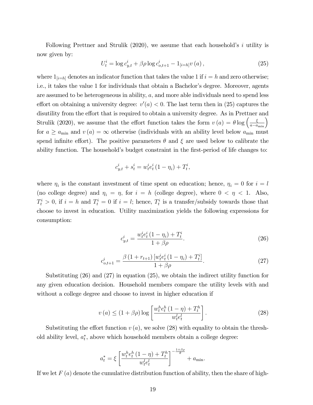Following Prettner and Strulik  $(2020)$ , we assume that each household's i utility is now given by:

$$
U_t^i = \log c_{y,t}^i + \beta \rho \log c_{o,t+1}^i - 1_{[i=h]} v(a), \qquad (25)
$$

where  $1_{[i=h]}$  denotes an indicator function that takes the value 1 if  $i = h$  and zero otherwise; i.e., it takes the value 1 for individuals that obtain a Bachelor's degree. Moreover, agents are assumed to be heterogeneous in ability, a; and more able individuals need to spend less effort on obtaining a university degree:  $v'(a) < 0$ . The last term then in (25) captures the disutility from the effort that is required to obtain a university degree. As in Prettner and Strulik (2020), we assume that the effort function takes the form  $v(a) = \theta \log \left( \frac{\xi}{a - a_{\min}} \right)$ for  $a \ge a_{\min}$  and  $v(a) = \infty$  otherwise (individuals with an ability level below  $a_{\min}$  must spend infinite effort). The positive parameters  $\theta$  and  $\xi$  are used below to calibrate the ability function. The household's budget constraint in the first-period of life changes to:

$$
c_{y,t}^i + s_t^i = w_t^i e_t^i (1 - \eta_i) + T_t^i,
$$

where  $\eta_i$  is the constant investment of time spent on education; hence,  $\eta_i = 0$  for  $i = l$ (no college degree) and  $\eta_i = \eta$ , for  $i = h$  (college degree), where  $0 < \eta < 1$ . Also,  $T_t^i > 0$ , if  $i = h$  and  $T_t^i = 0$  if  $i = l$ ; hence,  $T_t^i$  is a transfer/subsidy towards those that choose to invest in education. Utility maximization yields the following expressions for consumption:

$$
c_{y,t}^i = \frac{w_t^i e_t^i (1 - \eta_i) + T_t^i}{1 + \beta \rho}.
$$
\n(26)

$$
c_{o,t+1}^i = \frac{\beta (1 + r_{t+1}) \left[ w_t^i e_t^i (1 - \eta_i) + T_t^i \right]}{1 + \beta \rho}.
$$
 (27)

Substituting (26) and (27) in equation (25), we obtain the indirect utility function for any given education decision. Household members compare the utility levels with and without a college degree and choose to invest in higher education if

$$
v(a) \le (1 + \beta \rho) \log \left[ \frac{w_t^h e_t^h (1 - \eta) + T_t^h}{w_t^l e_t^l} \right].
$$
 (28)

Substituting the effort function  $v(a)$ , we solve (28) with equality to obtain the threshold ability level,  $a_t^*$  $_{t}^{*}$ , above which household members obtain a college degree:

$$
a_t^* = \xi \left[ \frac{w_t^h e_t^h (1 - \eta) + T_t^h}{w_t^l e_t^l} \right]^{-\frac{1 + \beta \rho}{\theta}} + a_{\min}.
$$

If we let  $F(a)$  denote the cumulative distribution function of ability, then the share of high-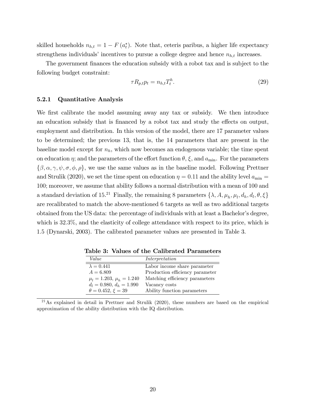skilled households  $n_{h,t} = 1 - F(a_t^*)$  $_{t}^{*}$ ). Note that, ceteris paribus, a higher life expectancy strengthens individuals' incentives to pursue a college degree and hence  $n_{h,t}$  increases.

The government finances the education subsidy with a robot tax and is subject to the following budget constraint:

$$
\tau R_{p,t} p_t = n_{h,t} T_t^h. \tag{29}
$$

#### 5.2.1 Quantitative Analysis

We first calibrate the model assuming away any tax or subsidy. We then introduce an education subsidy that is financed by a robot tax and study the effects on output, employment and distribution. In this version of the model, there are 17 parameter values to be determined; the previous 13, that is, the 14 parameters that are present in the baseline model except for  $n_h$ , which now becomes an endogenous variable; the time spent on education  $\eta$ ; and the parameters of the effort function  $\theta$ ,  $\xi$ , and  $a_{\min}$ . For the parameters  $\{\beta,\alpha,\gamma,\psi,\sigma,\phi,\rho\},\$  we use the same values as in the baseline model. Following Prettner and Strulik (2020), we set the time spent on education  $\eta = 0.11$  and the ability level  $a_{\min} =$ 100; moreover, we assume that ability follows a normal distribution with a mean of 100 and a standard deviation of 15.<sup>21</sup> Finally, the remaining 8 parameters  $\{\lambda, A, \mu_h, \mu_l, d_h, d_l, \theta, \xi\}$ are recalibrated to match the above-mentioned 6 targets as well as two additional targets obtained from the US data: the percentage of individuals with at least a Bachelor's degree, which is  $32.3\%$ , and the elasticity of college attendance with respect to its price, which is 1:5 (Dynarski, 2003). The calibrated parameter values are presented in Table 3.

| Value                          | Interpretation                  |
|--------------------------------|---------------------------------|
| $\lambda = 0.441$              | Labor income share parameter    |
| $A = 6.809$                    | Production efficiency parameter |
| $\mu_l = 1.203, \mu_h = 1.240$ | Matching efficiency parameters  |
| $d_l = 0.980, d_h = 1.990$     | Vacancy costs                   |
| $\theta = 0.452, \xi = 39$     | Ability function parameters     |

Table 3: Values of the Calibrated Parameters

<sup>21</sup>As explained in detail in Prettner and Strulik (2020), these numbers are based on the empirical approximation of the ability distribution with the IQ distribution.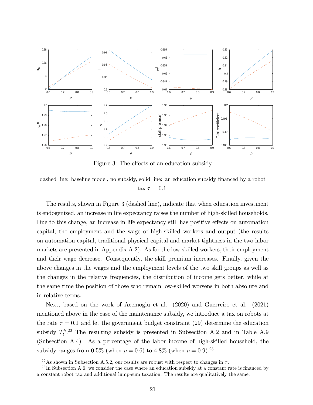

Figure 3: The effects of an education subsidy

dashed line: baseline model, no subsidy, solid line: an education subsidy financed by a robot tax  $\tau = 0.1$ .

The results, shown in Figure 3 (dashed line), indicate that when education investment is endogenized, an increase in life expectancy raises the number of high-skilled households. Due to this change, an increase in life expectancy still has positive effects on automation capital, the employment and the wage of high-skilled workers and output (the results on automation capital, traditional physical capital and market tightness in the two labor markets are presented in Appendix A.2). As for the low-skilled workers, their employment and their wage decrease. Consequently, the skill premium increases. Finally, given the above changes in the wages and the employment levels of the two skill groups as well as the changes in the relative frequencies, the distribution of income gets better, while at the same time the position of those who remain low-skilled worsens in both absolute and in relative terms.

Next, based on the work of Acemoglu et al. (2020) and Guerreiro et al. (2021) mentioned above in the case of the maintenance subsidy, we introduce a tax on robots at the rate  $\tau = 0.1$  and let the government budget constraint (29) determine the education subsidy  $T_t^{h,22}$  The resulting subsidy is presented in Subsection A.2 and in Table A.9 (Subsection A.4). As a percentage of the labor income of high-skilled household, the subsidy ranges from 0.5% (when  $\rho = 0.6$ ) to 4.8% (when  $\rho = 0.9$ ).<sup>23</sup>

<sup>&</sup>lt;sup>22</sup>As shown in Subsection A.5.2, our results are robust with respect to changes in  $\tau$ .

 $^{23}$ In Subsection A.6, we consider the case where an education subsidy at a constant rate is financed by a constant robot tax and additional lump-sum taxation. The results are qualitatively the same.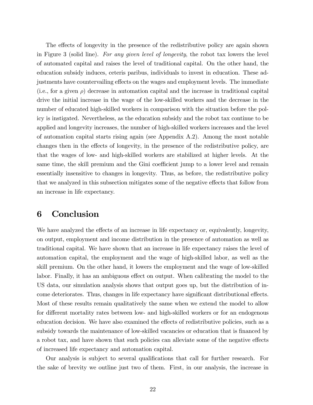The effects of longevity in the presence of the redistributive policy are again shown in Figure 3 (solid line). For any given level of longevity, the robot tax lowers the level of automated capital and raises the level of traditional capital. On the other hand, the education subsidy induces, ceteris paribus, individuals to invest in education. These adjustments have countervailing effects on the wages and employment levels. The immediate (i.e., for a given  $\rho$ ) decrease in automation capital and the increase in traditional capital drive the initial increase in the wage of the low-skilled workers and the decrease in the number of educated high-skilled workers in comparison with the situation before the policy is instigated. Nevertheless, as the education subsidy and the robot tax continue to be applied and longevity increases, the number of high-skilled workers increases and the level of automation capital starts rising again (see Appendix A.2). Among the most notable changes then in the effects of longevity, in the presence of the redistributive policy, are that the wages of low- and high-skilled workers are stabilized at higher levels. At the same time, the skill premium and the Gini coefficient jump to a lower level and remain essentially insensitive to changes in longevity. Thus, as before, the redistributive policy that we analyzed in this subsection mitigates some of the negative effects that follow from an increase in life expectancy.

## 6 Conclusion

We have analyzed the effects of an increase in life expectancy or, equivalently, longevity, on output, employment and income distribution in the presence of automation as well as traditional capital. We have shown that an increase in life expectancy raises the level of automation capital, the employment and the wage of high-skilled labor, as well as the skill premium. On the other hand, it lowers the employment and the wage of low-skilled labor. Finally, it has an ambiguous effect on output. When calibrating the model to the US data, our simulation analysis shows that output goes up, but the distribution of income deteriorates. Thus, changes in life expectancy have significant distributional effects. Most of these results remain qualitatively the same when we extend the model to allow for different mortality rates between low- and high-skilled workers or for an endogenous education decision. We have also examined the effects of redistributive policies, such as a subsidy towards the maintenance of low-skilled vacancies or education that is financed by a robot tax, and have shown that such policies can alleviate some of the negative effects of increased life expectancy and automation capital.

Our analysis is subject to several qualifications that call for further research. For the sake of brevity we outline just two of them. First, in our analysis, the increase in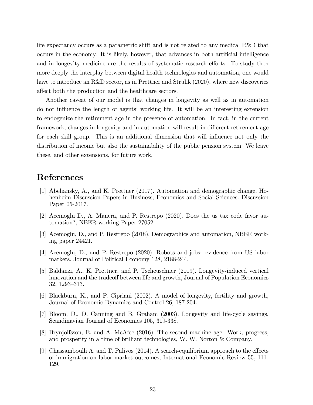life expectancy occurs as a parametric shift and is not related to any medical R&D that occurs in the economy. It is likely, however, that advances in both artificial intelligence and in longevity medicine are the results of systematic research efforts. To study then more deeply the interplay between digital health technologies and automation, one would have to introduce an R&D sector, as in Prettner and Strulik (2020), where new discoveries affect both the production and the healthcare sectors.

Another caveat of our model is that changes in longevity as well as in automation do not influence the length of agents' working life. It will be an interesting extension to endogenize the retirement age in the presence of automation. In fact, in the current framework, changes in longevity and in automation will result in different retirement age for each skill group. This is an additional dimension that will influence not only the distribution of income but also the sustainability of the public pension system. We leave these, and other extensions, for future work.

# References

- [1] Abeliansky, A., and K. Prettner (2017). Automation and demographic change, Hohenheim Discussion Papers in Business, Economics and Social Sciences. Discussion Paper 05-2017.
- [2] Acemoglu D., A. Manera, and P. Restrepo (2020). Does the us tax code favor automation?, NBER working Paper 27052.
- [3] Acemoglu, D., and P. Restrepo (2018). Demographics and automation, NBER working paper 24421.
- [4] Acemoglu, D., and P. Restrepo (2020). Robots and jobs: evidence from US labor markets, Journal of Political Economy 128, 2188-244.
- [5] Baldanzi, A., K. Prettner, and P. Tscheuschner (2019). Longevity-induced vertical innovation and the tradeoff between life and growth, Journal of Population Economics 32, 1293–313.
- [6] Blackburn, K., and P. Cipriani (2002). A model of longevity, fertility and growth, Journal of Economic Dynamics and Control 26, 187-204.
- [7] Bloom, D., D. Canning and B. Graham (2003). Longevity and life-cycle savings, Scandinavian Journal of Economics 105, 319-338.
- [8] Brynjolfsson, E. and A. McAfee (2016). The second machine age: Work, progress, and prosperity in a time of brilliant technologies, W. W. Norton & Company.
- [9] Chassamboulli A. and T. Palivos  $(2014)$ . A search-equilibrium approach to the effects of immigration on labor market outcomes, International Economic Review 55, 111- 129.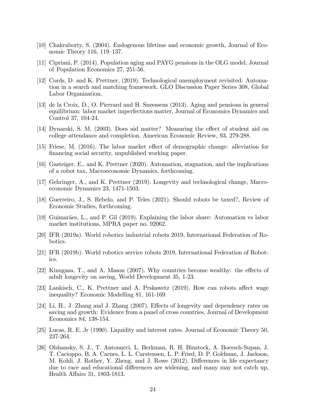- [10] Chakraborty, S. (2004). Endogenous lifetime and economic growth, Journal of Economic Theory 116,  $119-137$ .
- [11] Cipriani, P. (2014). Population aging and PAYG pensions in the OLG model, Journal of Population Economics 27, 251-56.
- [12] Cords, D. and K. Prettner, (2019). Technological unemployment revisited: Automation in a search and matching framework. GLO Discussion Paper Series 308, Global Labor Organization.
- [13] de la Croix, D., O. Pierrard and H. Sneessens (2013). Aging and pensions in general equilibrium: labor market imperfections matter, Journal of Economics Dynamics and Control 37, 104-24.
- [14] Dynarski, S. M. (2003). Does aid matter? Measuring the effect of student aid on college attendance and completion, American Economic Review, 93, 279-288.
- [15] Friese, M. (2016). The labor market effect of demographic change: alleviation for financing social security, unpublished working paper.
- [16] Gasteiger, E., and K. Prettner (2020). Automation, stagnation, and the implications of a robot tax, Macroeconomic Dynamics, forthcoming.
- [17] Gehringer, A., and K. Prettner (2019). Longevity and technological change, Macroeconomic Dynamics 23, 1471-1503.
- [18] Guerreiro, J., S. Rebelo, and P. Teles (2021). Should robots be taxed?, Review of Economic Studies, forthcoming.
- [19] Guimarães, L., and P. Gil (2019). Explaining the labor share: Automation vs labor market institutions, MPRA paper no. 92062.
- [20] IFR (2019a). World robotics industrial robots 2019, International Federation of Robotics.
- [21] IFR (2019b). World robotics service robots 2019, International Federation of Robotics.
- [22] Kinugasa, T., and A. Mason  $(2007)$ . Why countries become wealthy: the effects of adult longevity on saving, World Development 35, 1-23.
- [23] Lankisch, C., K. Prettner and A. Prskawetz  $(2019)$ . How can robots affect wage inequality? Economic Modelling 81, 161-169.
- [24] Li, H., J. Zhang and J. Zhang  $(2007)$ . Effects of longevity and dependency rates on saving and growth: Evidence from a panel of cross countries, Journal of Development Economics 84, 138-154.
- [25] Lucas, R. E. Jr (1990). Liquidity and interest rates. Journal of Economic Theory 50, 237-264.
- [26] Olshansky, S. J., T. Antonucci, L. Berkman, R. H. Binstock, A. Boersch-Supan, J. T. Cacioppo, B. A. Carnes, L. L. Carstensen, L. P. Fried, D. P. Goldman, J. Jackson, M. Kohli, J. Rother, Y. Zheng, and J. Rowe (2012). Differences in life expectancy due to race and educational differences are widening, and many may not catch up, Health Affairs 31, 1803-1813.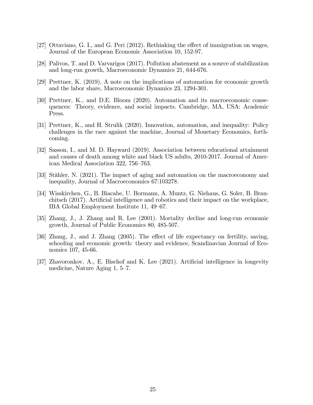- [27] Ottaviano, G. I., and G. Peri (2012). Rethinking the effect of immigration on wages, Journal of the European Economic Association 10, 152-97.
- [28] Palivos, T. and D. Varvarigos (2017). Pollution abatement as a source of stabilization and long-run growth, Macroeconomic Dynamics 21, 644-676.
- [29] Prettner, K. (2019). A note on the implications of automation for economic growth and the labor share, Macroeconomic Dynamics 23, 1294-301.
- [30] Prettner, K., and D.E. Bloom (2020). Automation and its macroeconomic consequences: Theory, evidence, and social impacts. Cambridge, MA, USA: Academic Press.
- [31] Prettner, K., and H. Strulik (2020). Innovation, automation, and inequality: Policy challenges in the race against the machine, Journal of Monetary Economics, forthcoming.
- [32] Sasson, I., and M. D. Hayward (2019). Association between educational attainment and causes of death among white and black US adults, 2010-2017. Journal of American Medical Association 322, 756–763.
- [33] Stähler, N. (2021). The impact of aging and automation on the macroeconomy and inequality, Journal of Macroeconomics 67:103278.
- [34] Wisskirchen, G., B. Biacabe, U. Bormann, A. Muntz, G. Niehaus, G. Soler, B. Brau- $\chi$ chitsch (2017). Artificial intelligence and robotics and their impact on the workplace, IBA Global Employment Institute 11, 49–67.
- [35] Zhang, J., J. Zhang and R. Lee (2001). Mortality decline and long-run economic growth, Journal of Public Economics 80, 485-507.
- [36] Zhang, J., and J. Zhang (2005). The effect of life expectancy on fertility, saving, schooling and economic growth: theory and evidence, Scandinavian Journal of Economics 107, 45-66.
- [37] Zhavoronkov, A., E. Bischof and K. Lee  $(2021)$ . Artificial intelligence in longevity medicine, Nature Aging  $1, 5-7$ .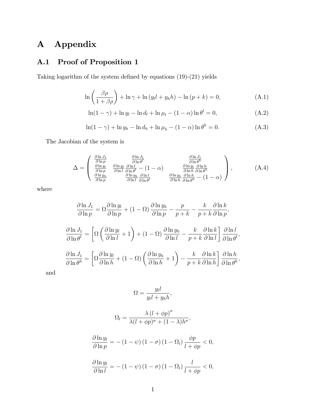# A Appendix

# A.1 Proof of Proposition 1

Taking logarithm of the system defined by equations  $(19)-(21)$  yields

$$
\ln\left(\frac{\beta\rho}{1+\beta\rho}\right) + \ln\gamma + \ln\left(y_l l + y_h h\right) - \ln\left(p+k\right) = 0,\tag{A.1}
$$

$$
\ln(1-\gamma) + \ln y_l - \ln d_l + \ln \mu_l - (1-\alpha) \ln \theta^l = 0,
$$
\n(A.2)

$$
\ln(1-\gamma) + \ln y_h - \ln d_h + \ln \mu_h - (1-\alpha) \ln \theta^h = 0.
$$
 (A.3)

The Jacobian of the system is

$$
\Delta = \begin{pmatrix}\n\frac{\partial \ln J_1}{\partial \ln p} & \frac{\partial \ln J_1}{\partial \ln \theta^l} & \frac{\partial \ln J_1}{\partial \ln \theta^h} \\
\frac{\partial \ln y_l}{\partial \ln p} & \frac{\partial \ln y_l}{\partial \ln l} & \frac{\partial \ln l}{\partial \ln \theta^l} - (1 - \alpha) & \frac{\partial \ln y_l}{\partial \ln h} & \frac{\partial \ln h}{\partial \ln \theta^h} \\
\frac{\partial \ln y_l}{\partial \ln p} & \frac{\partial \ln y_l}{\partial \ln l} & \frac{\partial \ln l}{\partial \ln \theta^l} & \frac{\partial \ln y_l}{\partial \ln h} & \frac{\partial \ln h}{\partial \ln \theta^h} - (1 - \alpha)\n\end{pmatrix},
$$
\n(A.4)

where

$$
\frac{\partial \ln J_1}{\partial \ln p} = \Omega \frac{\partial \ln y_l}{\partial \ln p} + (1 - \Omega) \frac{\partial \ln y_h}{\partial \ln p} - \frac{p}{p+k} - \frac{k}{p+k} \frac{\partial \ln k}{\partial \ln p},
$$

$$
\frac{\partial \ln J_1}{\partial \ln \theta^l} = \left[ \Omega \left( \frac{\partial \ln y_l}{\partial \ln l} + 1 \right) + (1 - \Omega) \frac{\partial \ln y_h}{\partial \ln l} - \frac{k}{p+k} \frac{\partial \ln k}{\partial \ln l} \right] \frac{\partial \ln l}{\partial \ln \theta^l},
$$

$$
\frac{\partial \ln J_1}{\partial \ln \theta^h} = \left[ \Omega \frac{\partial \ln y_l}{\partial \ln h} + (1 - \Omega) \left( \frac{\partial \ln y_h}{\partial \ln h} + 1 \right) - \frac{k}{p+k} \frac{\partial \ln k}{\partial \ln h} \right] \frac{\partial \ln h}{\partial \ln \theta^h},
$$

and

$$
\Omega = \frac{y_l l}{y_l l + y_h h},
$$

$$
\Omega_l = \frac{\lambda (l + \phi p)^{\sigma}}{\lambda (l + \phi p)^{\sigma} + (1 - \lambda) h^{\sigma}},
$$

$$
\frac{\partial \ln y_l}{\partial \ln p} = -(1 - \psi) (1 - \sigma) (1 - \Omega_l) \frac{\phi p}{l + \phi p} < 0,
$$

$$
\frac{\partial \ln y_l}{\partial \ln l} = -(1 - \psi) (1 - \sigma) (1 - \Omega_l) \frac{l}{l + \phi p} < 0,
$$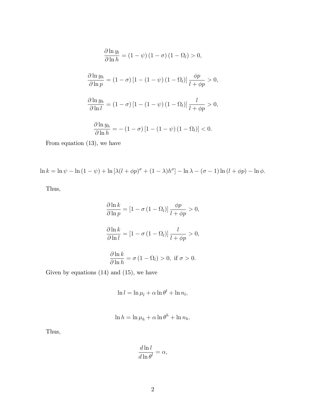$$
\frac{\partial \ln y_l}{\partial \ln h} = (1 - \psi) (1 - \sigma) (1 - \Omega_l) > 0,
$$
  

$$
\frac{\partial \ln y_h}{\partial \ln p} = (1 - \sigma) [1 - (1 - \psi) (1 - \Omega_l)] \frac{\phi p}{l + \phi p} > 0,
$$
  

$$
\frac{\partial \ln y_h}{\partial \ln l} = (1 - \sigma) [1 - (1 - \psi) (1 - \Omega_l)] \frac{l}{l + \phi p} > 0,
$$
  

$$
\frac{\partial \ln y_h}{\partial \ln h} = -(1 - \sigma) [1 - (1 - \psi) (1 - \Omega_l)] < 0.
$$

From equation (13), we have

$$
\ln k = \ln \psi - \ln (1 - \psi) + \ln \left[ \lambda (l + \phi p)^{\sigma} + (1 - \lambda) h^{\sigma} \right] - \ln \lambda - (\sigma - 1) \ln (l + \phi p) - \ln \phi.
$$

Thus,

$$
\frac{\partial \ln k}{\partial \ln p} = [1 - \sigma (1 - \Omega_l)] \frac{\phi p}{l + \phi p} > 0,
$$
  

$$
\frac{\partial \ln k}{\partial \ln l} = [1 - \sigma (1 - \Omega_l)] \frac{l}{l + \phi p} > 0,
$$
  

$$
\frac{\partial \ln k}{\partial \ln h} = \sigma (1 - \Omega_l) > 0, \text{ if } \sigma > 0.
$$

Given by equations  $(14)$  and  $(15)$ , we have

$$
\ln l = \ln \mu_l + \alpha \ln \theta^l + \ln n_l,
$$

$$
\ln h = \ln \mu_h + \alpha \ln \theta^h + \ln n_h.
$$

Thus,

$$
\frac{d\ln l}{d\ln\theta^l} = \alpha,
$$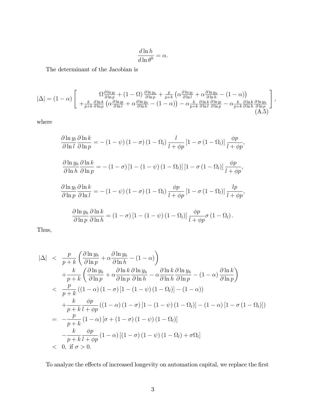$$
\frac{d\ln h}{d\ln\theta^h} = \alpha.
$$

The determinant of the Jacobian is

$$
|\Delta| = (1 - \alpha) \left[ \begin{array}{c} \Omega \frac{\partial \ln y_l}{\partial \ln p} + (1 - \Omega) \frac{\partial \ln y_h}{\partial \ln p} + \frac{p}{p+k} \left( \alpha \frac{\partial \ln y_l}{\partial \ln l} + \alpha \frac{\partial \ln y_h}{\partial \ln h} - (1 - \alpha) \right) \\ + \frac{k}{p+k} \frac{\partial \ln k}{\partial \ln p} \left( \alpha \frac{\partial \ln y_l}{\partial \ln l} + \alpha \frac{\partial \ln y_h}{\partial \ln h} - (1 - \alpha) \right) - \alpha \frac{k}{p+k} \frac{\partial \ln k}{\partial \ln l} \frac{\partial \ln y_l}{\partial \ln p} - \alpha \frac{k}{p+k} \frac{\partial \ln k}{\partial \ln h} \frac{\partial \ln y_h}{\partial \ln p} \end{array} \right],
$$
(A.5)

where

$$
\frac{\partial \ln y_{l}}{\partial \ln l} \frac{\partial \ln k}{\partial \ln p} = -(1 - \psi) (1 - \sigma) (1 - \Omega_{l}) \frac{l}{l + \phi p} [1 - \sigma (1 - \Omega_{l})] \frac{\phi p}{l + \phi p},
$$
  

$$
\frac{\partial \ln y_{h}}{\partial \ln h} \frac{\partial \ln k}{\partial \ln p} = -(1 - \sigma) [1 - (1 - \psi) (1 - \Omega_{l})] [1 - \sigma (1 - \Omega_{l})] \frac{\phi p}{l + \phi p},
$$
  

$$
\frac{\partial \ln y_{l}}{\partial \ln p} \frac{\partial \ln k}{\partial \ln l} = -(1 - \psi) (1 - \sigma) (1 - \Omega_{l}) \frac{\phi p}{l + \phi p} [1 - \sigma (1 - \Omega_{l})] \frac{l p}{l + \phi p},
$$
  

$$
\frac{\partial \ln y_{h}}{\partial \ln p} \frac{\partial \ln k}{\partial \ln h} = (1 - \sigma) [1 - (1 - \psi) (1 - \Omega_{l})] \frac{\phi p}{l + \phi p} \sigma (1 - \Omega_{l}).
$$

Thus,

$$
|\Delta| < \frac{p}{p+k} \left( \frac{\partial \ln y_h}{\partial \ln p} + \alpha \frac{\partial \ln y_h}{\partial \ln h} - (1 - \alpha) \right)
$$
  
+ 
$$
\frac{k}{p+k} \left( \frac{\partial \ln y_h}{\partial \ln p} + \alpha \frac{\partial \ln k}{\partial \ln p} \frac{\partial \ln y_h}{\partial \ln h} - \alpha \frac{\partial \ln k}{\partial \ln h} \frac{\partial \ln y_h}{\partial \ln p} - (1 - \alpha) \frac{\partial \ln k}{\partial \ln p} \right)
$$
  

$$
< \frac{p}{p+k} ((1 - \alpha) (1 - \sigma) [1 - (1 - \psi) (1 - \Omega_l)] - (1 - \alpha))
$$
  
+ 
$$
\frac{k}{p+k} \frac{\phi p}{l+\phi p} ((1 - \alpha) (1 - \sigma) [1 - (1 - \psi) (1 - \Omega_l)] - (1 - \alpha) [1 - \sigma (1 - \Omega_l)])
$$
  
= 
$$
-\frac{p}{p+k} (1 - \alpha) [\sigma + (1 - \sigma) (1 - \psi) (1 - \Omega_l)]
$$
  

$$
-\frac{k}{p+k} \frac{\phi p}{l+\phi p} (1 - \alpha) [(1 - \sigma) (1 - \psi) (1 - \Omega_l) + \sigma \Omega_l]
$$
  

$$
< 0, \text{ if } \sigma > 0.
$$

To analyze the effects of increased longevity on automation capital, we replace the first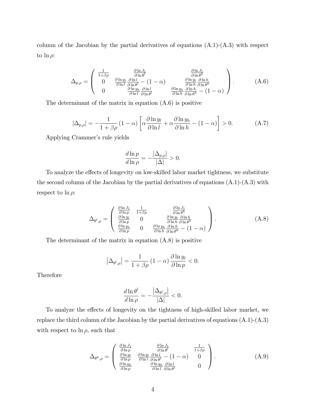column of the Jacobian by the partial derivatives of equations (A.1)-(A.3) with respect to  $\ln \rho$ :

$$
\Delta_{p,\rho} = \begin{pmatrix}\n\frac{1}{1+\beta\rho} & \frac{\partial \ln J_1}{\partial \ln \theta^l} & \frac{\partial \ln J_1}{\partial \ln \theta^h} \\
0 & \frac{\partial \ln y_l}{\partial \ln l} & \frac{\partial \ln l}{\partial \ln \theta^l} - (1-\alpha) & \frac{\partial \ln y_l}{\partial \ln h} & \frac{\partial \ln h}{\partial \ln \theta^h} \\
0 & \frac{\partial \ln y_h}{\partial \ln l} & \frac{\partial \ln l}{\partial \ln \theta^l} & \frac{\partial \ln y_h}{\partial \ln h} & \frac{\partial \ln h}{\partial \ln \theta^h} - (1-\alpha)\n\end{pmatrix}.
$$
\n(A.6)

The determinant of the matrix in equation (A.6) is positive

$$
|\Delta_{p,\rho}| = -\frac{1}{1+\beta\rho} \left(1-\alpha\right) \left[ \alpha \frac{\partial \ln y_l}{\partial \ln l} + \alpha \frac{\partial \ln y_h}{\partial \ln h} - (1-\alpha) \right] > 0. \tag{A.7}
$$

Applying Crammer's rule yields

$$
\frac{d\ln p}{d\ln \rho} = -\frac{|\Delta_{p,\rho}|}{|\Delta|} > 0.
$$

To analyze the effects of longevity on low-skilled labor market tightness, we substitute the second column of the Jacobian by the partial derivatives of equations (A.1)-(A.3) with respect to  $\ln \rho$ :

$$
\Delta_{\theta^l,\rho} = \begin{pmatrix}\n\frac{\partial \ln J_1}{\partial \ln p} & \frac{1}{1+\beta \rho} & \frac{\partial \ln J_1}{\partial \ln \theta^h} \\
\frac{\partial \ln y_l}{\partial \ln p} & 0 & \frac{\partial \ln y_l}{\partial \ln h} & \frac{\partial \ln h}{\partial \ln \theta^h} \\
\frac{\partial \ln y_h}{\partial \ln p} & 0 & \frac{\partial \ln y_h}{\partial \ln h} & \frac{\partial \ln h}{\partial \ln \theta^h} - (1-\alpha)\n\end{pmatrix}.
$$
\n(A.8)

The determinant of the matrix in equation (A.8) is positive

$$
\left|\Delta_{\theta^l,\rho}\right| = \frac{1}{1+\beta\rho} \left(1-\alpha\right) \frac{\partial \ln y_l}{\partial \ln p} < 0.
$$

Therefore

$$
\frac{d\ln\theta^l}{d\ln\rho}=-\frac{\left|\Delta_{\theta^l,\rho}\right|}{\left|\Delta\right|}<0.
$$

To analyze the effects of longevity on the tightness of high-skilled labor market, we replace the third column of the Jacobian by the partial derivatives of equations (A.1)-(A.3) with respect to  $\ln \rho$ , such that

$$
\Delta_{\theta^h,\rho} = \begin{pmatrix}\n\frac{\partial \ln J_1}{\partial \ln p} & \frac{\partial \ln J_1}{\partial \ln \theta^l} & \frac{1}{1+\beta \rho} \\
\frac{\partial \ln y_l}{\partial \ln p} & \frac{\partial \ln y_l}{\partial \ln l} & \frac{\partial \ln l}{\partial \ln \theta^l} - (1-\alpha) & 0 \\
\frac{\partial \ln y_h}{\partial \ln p} & \frac{\partial \ln y_h}{\partial \ln l} & \frac{\partial \ln l}{\partial \ln \theta^l} & 0\n\end{pmatrix}.
$$
\n(A.9)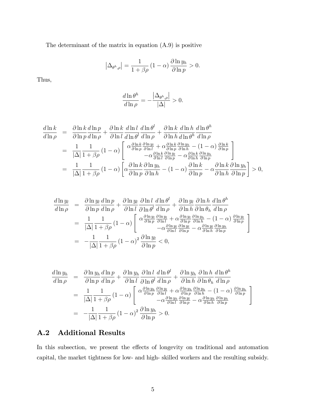The determinant of the matrix in equation (A.9) is positive

$$
\left|\Delta_{\theta^h,\rho}\right| = \frac{1}{1+\beta\rho} \left(1-\alpha\right) \frac{\partial \ln y_h}{\partial \ln p} > 0.
$$

Thus,

$$
\frac{d\ln\theta^h}{d\ln\rho} = -\frac{\left|\Delta_{\theta^h,\rho}\right|}{\left|\Delta\right|} > 0.
$$

$$
\frac{d\ln k}{d\ln \rho} = \frac{\partial \ln k}{\partial \ln p} \frac{d\ln p}{d\ln \rho} + \frac{\partial \ln k}{\partial \ln l} \frac{d\ln l}{d\ln \rho} \frac{d\ln \theta^l}{d\ln \rho} + \frac{\partial \ln k}{\partial \ln h} \frac{d\ln h}{d\ln \theta^h} \frac{d\ln \theta^h}{d\ln \rho}
$$
\n
$$
= \frac{1}{|\Delta|} \frac{1}{1 + \beta \rho} (1 - \alpha) \begin{bmatrix} \alpha \frac{\partial \ln k}{\partial \ln p} \frac{\partial \ln y_l}{\partial \ln l} + \alpha \frac{\partial \ln k}{\partial \ln p} \frac{\partial \ln y_h}{\partial \ln h} - (1 - \alpha) \frac{\partial \ln k}{\partial \ln p} \\ -\alpha \frac{\partial \ln k}{\partial \ln p} \frac{\partial \ln y_l}{\partial \ln p} - \alpha \frac{\partial \ln k}{\partial \ln h} \frac{\partial \ln y_h}{\partial \ln p} \end{bmatrix}
$$
\n
$$
= \frac{1}{|\Delta|} \frac{1}{1 + \beta \rho} (1 - \alpha) \begin{bmatrix} \alpha \frac{\partial \ln k}{\partial \ln p} \frac{\partial \ln y_h}{\partial \ln h} - (1 - \alpha) \frac{\partial \ln k}{\partial \ln p} - \alpha \frac{\partial \ln k}{\partial \ln h} \frac{\partial \ln y_h}{\partial \ln p} \end{bmatrix} > 0,
$$

$$
\frac{d\ln y_l}{d\ln \rho} = \frac{\partial \ln y_l}{\partial \ln p} \frac{d\ln p}{d\ln \rho} + \frac{\partial \ln y_l}{\partial \ln l} \frac{\partial \ln l}{\partial \ln \rho} \frac{d\ln \theta^l}{d\ln \rho} + \frac{\partial \ln y_l}{\partial \ln h} \frac{\partial \ln h}{\partial \ln \theta_h} \frac{d\ln \theta^h}{d\ln \rho}
$$
\n
$$
= \frac{1}{|\Delta|} \frac{1}{1 + \beta \rho} (1 - \alpha) \begin{bmatrix} \alpha \frac{\partial \ln y_l}{\partial \ln p} \frac{\partial \ln y_l}{\partial \ln l} + \alpha \frac{\partial \ln y_l}{\partial \ln p} \frac{\partial \ln y_h}{\partial \ln h} - (1 - \alpha) \frac{\partial \ln y_l}{\partial \ln p} \\ -\alpha \frac{\partial \ln y_l}{\partial \ln l} \frac{\partial \ln y_l}{\partial \ln p} - \alpha \frac{\partial \ln y_l}{\partial \ln h} \frac{\partial \ln y_h}{\partial \ln p} \end{bmatrix}
$$
\n
$$
= -\frac{1}{|\Delta|} \frac{1}{1 + \beta \rho} (1 - \alpha)^2 \frac{\partial \ln y_l}{\partial \ln p} \le 0,
$$

$$
\frac{d\ln y_h}{d\ln \rho} = \frac{\partial \ln y_h}{\partial \ln p} \frac{d\ln p}{d\ln \rho} + \frac{\partial \ln y_h}{\partial \ln l} \frac{\partial \ln l}{\partial \ln \rho} \frac{d\ln \theta^l}{d\ln \rho} + \frac{\partial \ln y_h}{\partial \ln h} \frac{\partial \ln h}{\partial \ln \theta_h} \frac{d\ln \theta^h}{d\ln \rho}
$$
\n
$$
= \frac{1}{|\Delta|} \frac{1}{1 + \beta \rho} (1 - \alpha) \left[ \alpha \frac{\partial \ln y_h}{\partial \ln p} \frac{\partial \ln y_l}{\partial \ln l} + \alpha \frac{\partial \ln y_h}{\partial \ln p} \frac{\partial \ln y_h}{\partial \ln h} - (1 - \alpha) \frac{\partial \ln y_h}{\partial \ln p} \right]
$$
\n
$$
= -\frac{1}{|\Delta|} \frac{1}{1 + \beta \rho} (1 - \alpha)^2 \frac{\partial \ln y_h}{\partial \ln p} > 0.
$$

# A.2 Additional Results

In this subsection, we present the effects of longevity on traditional and automation capital, the market tightness for low- and high- skilled workers and the resulting subsidy.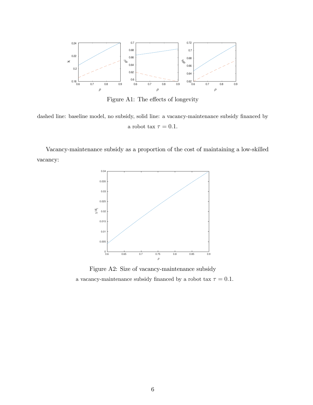

Figure A1: The effects of longevity

dashed line: baseline model, no subsidy, solid line: a vacancy-maintenance subsidy financed by a robot tax  $\tau = 0.1$ .

Vacancy-maintenance subsidy as a proportion of the cost of maintaining a low-skilled vacancy:



Figure A2: Size of vacancy-maintenance subsidy a vacancy-maintenance subsidy financed by a robot tax  $\tau = 0.1$ .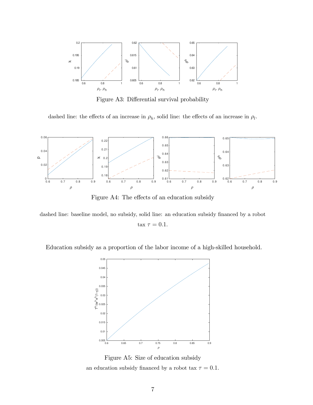

Figure A3: Differential survival probability

dashed line: the effects of an increase in  $\rho_h$ , solid line: the effects of an increase in  $\rho_l$ .



Figure A4: The effects of an education subsidy

dashed line: baseline model, no subsidy, solid line: an education subsidy financed by a robot tax  $\tau = 0.1$ .

Education subsidy as a proportion of the labor income of a high-skilled household.



Figure A5: Size of education subsidy an education subsidy financed by a robot tax  $\tau = 0.1$ .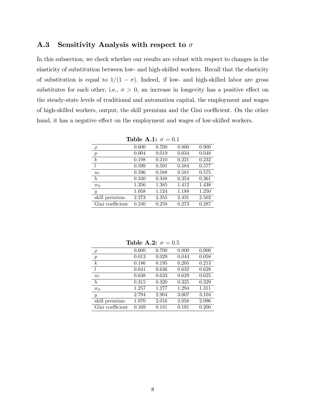### A.3 Sensitivity Analysis with respect to  $\sigma$

In this subsection, we check whether our results are robust with respect to changes in the elasticity of substitution between low- and high-skilled workers. Recall that the elasticity of substitution is equal to  $1/(1 - \sigma)$ . Indeed, if low- and high-skilled labor are gross substitutes for each other, i.e.,  $\sigma > 0$ , an increase in longevity has a positive effect on the steady-state levels of traditional and automation capital, the employment and wages of high-skilled workers, output, the skill premium and the Gini coefficient. On the other hand, it has a negative effect on the employment and wages of low-skilled workers.

|                  |       | $1401C$ A.I. $U = U_{11}$ |       |       |
|------------------|-------|---------------------------|-------|-------|
| $\rho$           | 0.600 | 0.700                     | 0.800 | 0.900 |
| $\boldsymbol{p}$ | 0.004 | 0.019                     | 0.034 | 0.048 |
| $\boldsymbol{k}$ | 0.198 | 0.210                     | 0.221 | 0.232 |
| l                | 0.599 | 0.591                     | 0.584 | 0.577 |
| $w_l$            | 0.596 | 0.588                     | 0.581 | 0.575 |
| $\hbar$          | 0.340 | 0.348                     | 0.354 | 0.361 |
| $w_h$            | 1.356 | 1.385                     | 1.412 | 1.438 |
| $\boldsymbol{y}$ | 1.058 | 1.124                     | 1.188 | 1.250 |
| skill premium    | 2.273 | 2.355                     | 2.431 | 2.502 |
| Gini coefficient | 0.240 | 0.258                     | 0.273 | 0.287 |

Table A.1:  $\sigma = 0.1$ 

| $\rho$           | 0.600 | 0.700 | 0.800 | 0.900 |
|------------------|-------|-------|-------|-------|
| $\boldsymbol{p}$ | 0.013 | 0.029 | 0.044 | 0.058 |
| $\boldsymbol{k}$ | 0.186 | 0.195 | 0.205 | 0.213 |
| l                | 0.641 | 0.636 | 0.632 | 0.628 |
| $w_l$            | 0.638 | 0.633 | 0.629 | 0.625 |
| $\boldsymbol{h}$ | 0.315 | 0.320 | 0.325 | 0.329 |
| $w_h$            | 1.257 | 1.277 | 1.294 | 1.311 |
| $\boldsymbol{y}$ | 2.794 | 2.904 | 3.007 | 3.104 |
| skill premium    | 1.970 | 2.016 | 2.058 | 2.096 |
| Gini coefficient | 0.169 | 0.181 | 0.191 | 0.200 |

Table A.2:  $\sigma = 0.5$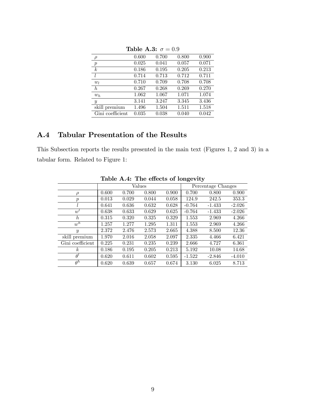| $\rho$           | 0.600 | 0.700 | 0.800 | 0.900 |
|------------------|-------|-------|-------|-------|
| $\boldsymbol{p}$ | 0.025 | 0.041 | 0.057 | 0.071 |
| $\boldsymbol{k}$ | 0.186 | 0.195 | 0.205 | 0.213 |
| $\iota$          | 0.714 | 0.713 | 0.712 | 0.711 |
| $w_l$            | 0.710 | 0.709 | 0.708 | 0.708 |
| h                | 0.267 | 0.268 | 0.269 | 0.270 |
| $w_h$            | 1.062 | 1.067 | 1.071 | 1.074 |
| $\boldsymbol{y}$ | 3.141 | 3.247 | 3.345 | 3.436 |
| skill premium    | 1.496 | 1.504 | 1.511 | 1.518 |
| Gini coefficient | 0.035 | 0.038 | 0.040 | 0.042 |
|                  |       |       |       |       |

Table A.3:  $\sigma=0.9$ 

## A.4 Tabular Presentation of the Results

This Subsection reports the results presented in the main text (Figures 1, 2 and 3) in a tabular form. Related to Figure 1:

| $\frac{1}{2}$    |       |       |        |       |                    |          |          |  |
|------------------|-------|-------|--------|-------|--------------------|----------|----------|--|
|                  |       |       | Values |       | Percentage Changes |          |          |  |
| $\rho$           | 0.600 | 0.700 | 0.800  | 0.900 | 0.700              | 0.800    | 0.900    |  |
| $\boldsymbol{p}$ | 0.013 | 0.029 | 0.044  | 0.058 | 124.9              | 242.5    | 353.3    |  |
|                  | 0.641 | 0.636 | 0.632  | 0.628 | $-0.764$           | $-1.433$ | $-2.026$ |  |
| $w^{\iota}$      | 0.638 | 0.633 | 0.629  | 0.625 | $-0.764$           | $-1.433$ | $-2.026$ |  |
| $\hbar$          | 0.315 | 0.320 | 0.325  | 0.329 | 1.553              | 2.969    | 4.266    |  |
| $w^h$            | 1.257 | 1.277 | 1.295  | 1.311 | 1.553              | 2.969    | 4.266    |  |
| $\boldsymbol{y}$ | 2.372 | 2.476 | 2.573  | 2.665 | 4.388              | 8.500    | 12.36    |  |
| skill premium    | 1.970 | 2.016 | 2.058  | 2.097 | 2.335              | 4.466    | 6.421    |  |
| Gini coefficient | 0.225 | 0.231 | 0.235  | 0.239 | 2.666              | 4.727    | 6.361    |  |
| k <sub>i</sub>   | 0.186 | 0.195 | 0.205  | 0.213 | 5.192              | 10.08    | 14.68    |  |
| $\theta^l$       | 0.620 | 0.611 | 0.602  | 0.595 | $-1.522$           | $-2.846$ | $-4.010$ |  |
| $\theta^h$       | 0.620 | 0.639 | 0.657  | 0.674 | 3.130              | 6.025    | 8.713    |  |

Table A.4: The effects of longevity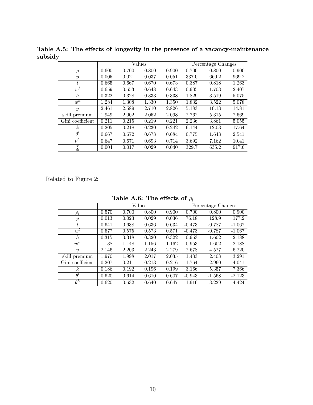|                    | Values |       |       |       |          | Percentage Changes |          |
|--------------------|--------|-------|-------|-------|----------|--------------------|----------|
| $\rho$             | 0.600  | 0.700 | 0.800 | 0.900 | 0.700    | 0.800              | 0.900    |
| $\boldsymbol{p}$   | 0.005  | 0.021 | 0.037 | 0.051 | 337.0    | 660.2              | 969.2    |
| l                  | 0.665  | 0.667 | 0.670 | 0.673 | 0.387    | 0.818              | 1.263    |
| $w^t$              | 0.659  | 0.653 | 0.648 | 0.643 | $-0.905$ | $-1.703$           | $-2.407$ |
| $\hbar$            | 0.322  | 0.328 | 0.333 | 0.338 | 1.829    | 3.519              | 5.075    |
| $w^h$              | 1.284  | 1.308 | 1.330 | 1.350 | 1.832    | 3.522              | 5.078    |
| $\boldsymbol{y}$   | 2.461  | 2.589 | 2.710 | 2.826 | 5.183    | 10.13              | 14.81    |
| skill premium      | 1.949  | 2.002 | 2.052 | 2.098 | 2.762    | 5.315              | 7.669    |
| Gini coefficient   | 0.211  | 0.215 | 0.219 | 0.221 | 2.236    | 3.861              | 5.055    |
| k <sub>i</sub>     | 0.205  | 0.218 | 0.230 | 0.242 | 6.144    | 12.03              | 17.64    |
| $\theta^l$         | 0.667  | 0.672 | 0.678 | 0.684 | 0.775    | 1.643              | 2.541    |
| $\theta^h$         | 0.647  | 0.671 | 0.693 | 0.714 | 3.692    | 7.162              | 10.41    |
| $\frac{\chi}{d_l}$ | 0.004  | 0.017 | 0.029 | 0.040 | 329.7    | 635.2              | 917.6    |

Table A.5: The effects of longevity in the presence of a vacancy-maintenance subsidy

Related to Figure 2:

Table A.6: The effects of  $\rho_l$ 

|                  |       |       | Values |       | Percentage Changes |          |          |
|------------------|-------|-------|--------|-------|--------------------|----------|----------|
| $\rho_l$         | 0.570 | 0.700 | 0.800  | 0.900 | 0.700              | 0.800    | 0.900    |
| $\,p\,$          | 0.013 | 0.023 | 0.029  | 0.036 | 76.18              | 128.9    | 177.2    |
|                  | 0.641 | 0.638 | 0.636  | 0.634 | $-0.473$           | $-0.787$ | $-1.067$ |
| $w^t$            | 0.577 | 0.575 | 0.573  | 0.571 | $-0.473$           | $-0.787$ | $-1.067$ |
| $\hbar$          | 0.315 | 0.318 | 0.320  | 0.322 | 0.953              | 1.602    | 2.188    |
| $w^h$            | 1.138 | 1.148 | 1.156  | 1.162 | 0.953              | 1.602    | 2.188    |
| $\boldsymbol{y}$ | 2.146 | 2.203 | 2.243  | 2.279 | 2.678              | 4.527    | 6.220    |
| skill premium    | 1.970 | 1.998 | 2.017  | 2.035 | 1.433              | 2.408    | 3.291    |
| Gini coefficient | 0.207 | 0.211 | 0.213  | 0.216 | 1.764              | 2.960    | 4.041    |
| k.               | 0.186 | 0.192 | 0.196  | 0.199 | 3.166              | 5.357    | 7.366    |
| $\theta^t$       | 0.620 | 0.614 | 0.610  | 0.607 | $-0.943$           | $-1.568$ | $-2.123$ |
| $\theta^h$       | 0.620 | 0.632 | 0.640  | 0.647 | 1.916              | 3.229    | 4.424    |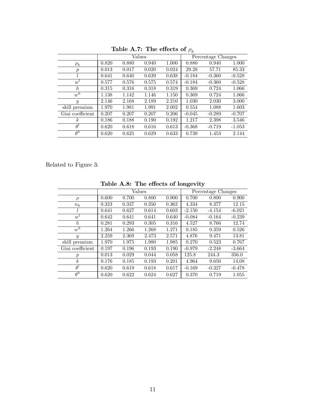|                  |       |       |        |       | $\cdots$           |          |          |
|------------------|-------|-------|--------|-------|--------------------|----------|----------|
|                  |       |       | Values |       | Percentage Changes |          |          |
| $\rho_h$         | 0.820 | 0.880 | 0.940  | 1.000 | 0.880              | 0.940    | 1.000    |
| $\boldsymbol{p}$ | 0.013 | 0.017 | 0.020  | 0.024 | 29.28              | 57.71    | 85.33    |
|                  | 0.641 | 0.640 | 0.639  | 0.638 | $-0.184$           | $-0.360$ | $-0.528$ |
| $w^{\iota}$      | 0.577 | 0.576 | 0.575  | 0.574 | $-0.184$           | $-0.360$ | $-0.528$ |
| $\hbar$          | 0.315 | 0.316 | 0.318  | 0.319 | 0.369              | 0.724    | 1.066    |
| $w^h$            | 1.138 | 1.142 | 1.146  | 1.150 | 0.369              | 0.724    | 1.066    |
| $\mathcal{Y}$    | 2.146 | 2.168 | 2.189  | 2.210 | 1.030              | 2.030    | 3.000    |
| skill premium    | 1.970 | 1.981 | 1.991  | 2.002 | 0.554              | 1.088    | 1.603    |
| Gini coefficient | 0.207 | 0.207 | 0.207  | 0.206 | $-0.045$           | $-0.289$ | $-0.707$ |
| $\boldsymbol{k}$ | 0.186 | 0.188 | 0.190  | 0.192 | 1.217              | 2.398    | 3.546    |
| $\theta^l$       | 0.620 | 0.618 | 0.616  | 0.613 | $-0.368$           | $-0.719$ | $-1.053$ |
| $\theta^h$       | 0.620 | 0.625 | 0.629  | 0.633 | 0.739              | 1.453    | 2.144    |
|                  |       |       |        |       |                    |          |          |

Table A.7: The effects of  $\rho_h$ 

Related to Figure 3:

|                  |       |       | Values |       | Percentage Changes |          |          |  |
|------------------|-------|-------|--------|-------|--------------------|----------|----------|--|
| $\rho$           | 0.600 | 0.700 | 0.800  | 0.900 | 0.700              | 0.800    | 0.900    |  |
| $n_h$            | 0.323 | 0.337 | 0.350  | 0.362 | 4.334              | 8.377    | 12.15    |  |
| L                | 0.641 | 0.627 | 0.614  | 0.603 | $-2.150$           | $-4.154$ | $-6.021$ |  |
| $w^t$            | 0.642 | 0.641 | 0.641  | 0.640 | $-0.084$           | $-0.164$ | $-0.239$ |  |
| $\hbar$          | 0.281 | 0.293 | 0.305  | 0.316 | 4.527              | 8.766    | 12.74    |  |
| $w^h$            | 1.264 | 1.266 | 1.268  | 1.271 | 0.185              | 0.359    | 0.526    |  |
| $\boldsymbol{y}$ | 2.259 | 2.369 | 2.473  | 2.571 | 4.876              | 9.471    | 13.81    |  |
| skill premium    | 1.970 | 1.975 | 1.980  | 1.985 | 0.270              | 0.523    | 0.767    |  |
| Gini coefficient | 0.197 | 0.196 | 0.193  | 0.190 | $-0.979$           | $-2.248$ | $-3.664$ |  |
| $\boldsymbol{p}$ | 0.013 | 0.029 | 0.044  | 0.058 | 125.8              | 244.3    | 356.0    |  |
| $\boldsymbol{k}$ | 0.176 | 0.185 | 0.193  | 0.201 | 4.964              | 9.650    | 14.08    |  |
| $\theta^t$       | 0.620 | 0.619 | 0.618  | 0.617 | $-0.169$           | $-0.327$ | $-0.478$ |  |
| $\theta^h$       | 0.620 | 0.622 | 0.624  | 0.627 | 0.370              | 0.719    | 1.055    |  |

Table A.8: The effects of longevity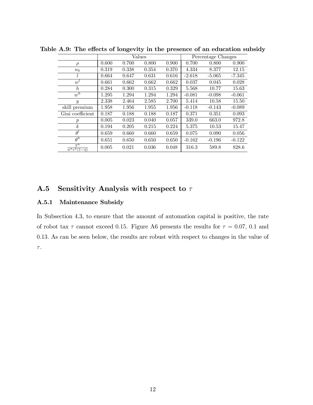|                                       | Values |       |       |       | Percentage Changes |          |          |
|---------------------------------------|--------|-------|-------|-------|--------------------|----------|----------|
| $\rho$                                | 0.600  | 0.700 | 0.800 | 0.900 | 0.700              | 0.800    | 0.900    |
| $n_h$                                 | 0.319  | 0.338 | 0.354 | 0.370 | 4.334              | 8.377    | 12.15    |
|                                       | 0.664  | 0.647 | 0.631 | 0.616 | $-2.618$           | $-5.065$ | $-7.345$ |
| $w^l$                                 | 0.661  | 0.662 | 0.662 | 0.662 | 0.037              | 0.045    | 0.028    |
| $\hbar$                               | 0.284  | 0.300 | 0.315 | 0.329 | 5.568              | 10.77    | 15.63    |
| $w^{\overline{h}}$                    | 1.295  | 1.294 | 1.294 | 1.294 | $-0.081$           | $-0.098$ | $-0.061$ |
| $\boldsymbol{y}$                      | 2.338  | 2.464 | 2.585 | 2.700 | 5.414              | 10.58    | 15.50    |
| skill premium                         | 1.958  | 1.956 | 1.955 | 1.956 | $-0.118$           | $-0.143$ | $-0.089$ |
| Gini coefficient                      | 0.187  | 0.188 | 0.188 | 0.187 | 0.371              | 0.351    | 0.093    |
| $\boldsymbol{p}$                      | 0.005  | 0.023 | 0.040 | 0.057 | 339.0              | 663.0    | 972.8    |
| $\boldsymbol{k}$                      | 0.194  | 0.205 | 0.215 | 0.224 | 5.375              | 10.53    | 15.47    |
| $\theta^l$                            | 0.659  | 0.660 | 0.660 | 0.659 | 0.075              | 0.090    | 0.056    |
| $\theta^h$                            | 0.651  | 0.650 | 0.650 | 0.650 | $-0.162$           | $-0.196$ | $-0.122$ |
| $T^h$<br>$\overline{w^h e^h(1-\eta)}$ | 0.005  | 0.021 | 0.036 | 0.048 | 316.3              | 589.8    | 828.6    |

Table A.9: The effects of longevity in the presence of an education subsidy

### A.5 Sensitivity Analysis with respect to  $\tau$

#### A.5.1 Maintenance Subsidy

In Subsection 4.3, to ensure that the amount of automation capital is positive, the rate of robot tax  $\tau$  cannot exceed 0.15. Figure A6 presents the results for  $\tau = 0.07, 0.1$  and 0:13: As can be seen below, the results are robust with respect to changes in the value of  $\tau.$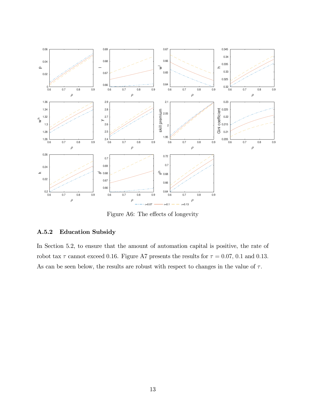

Figure A6: The effects of longevity

### A.5.2 Education Subsidy

In Section 5.2, to ensure that the amount of automation capital is positive, the rate of robot tax  $\tau$  cannot exceed 0.16. Figure A7 presents the results for  $\tau = 0.07, 0.1$  and 0.13. As can be seen below, the results are robust with respect to changes in the value of  $\tau$ .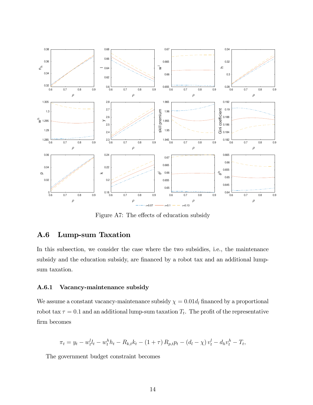

Figure A7: The effects of education subsidy

## A.6 Lump-sum Taxation

In this subsection, we consider the case where the two subsidies, i.e., the maintenance subsidy and the education subsidy, are financed by a robot tax and an additional lumpsum taxation.

#### A.6.1 Vacancy-maintenance subsidy

We assume a constant vacancy-maintenance subsidy  $\chi = 0.01d_l$  financed by a proportional robot tax  $\tau = 0.1$  and an additional lump-sum taxation  $T_t$ . The profit of the representative firm becomes

$$
\pi_t = y_t - w_t^l l_t - w_t^h h_t - R_{k,t} k_t - (1+\tau) R_{p,t} p_t - (d_l - \chi) v_t^l - d_h v_t^h - T_t,
$$

The government budget constraint becomes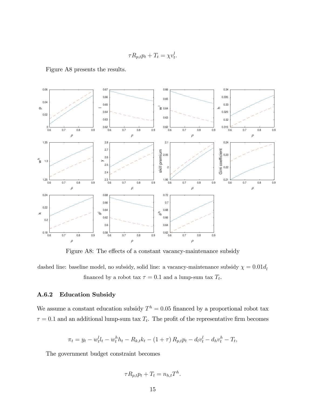$$
\tau R_{p,t} p_t + T_t = \chi v_t^l.
$$

Figure A8 presents the results.



Figure A8: The effects of a constant vacancy-maintenance subsidy

dashed line: baseline model, no subsidy, solid line: a vacancy-maintenance subsidy  $\chi=0.01d_{l}$ financed by a robot tax  $\tau = 0.1$  and a lump-sum tax  $T_t$ .

#### A.6.2 Education Subsidy

We assume a constant education subsidy  $T<sup>h</sup> = 0.05$  financed by a proportional robot tax  $\tau = 0.1$  and an additional lump-sum tax  $T_t$ . The profit of the representative firm becomes

$$
\pi_t = y_t - w_t^l l_t - w_t^h h_t - R_{k,t} k_t - (1 + \tau) R_{p,t} p_t - d_l v_t^l - d_h v_t^h - T_t,
$$

The government budget constraint becomes

$$
\tau R_{p,t} p_t + T_t = n_{h,t} T^h.
$$